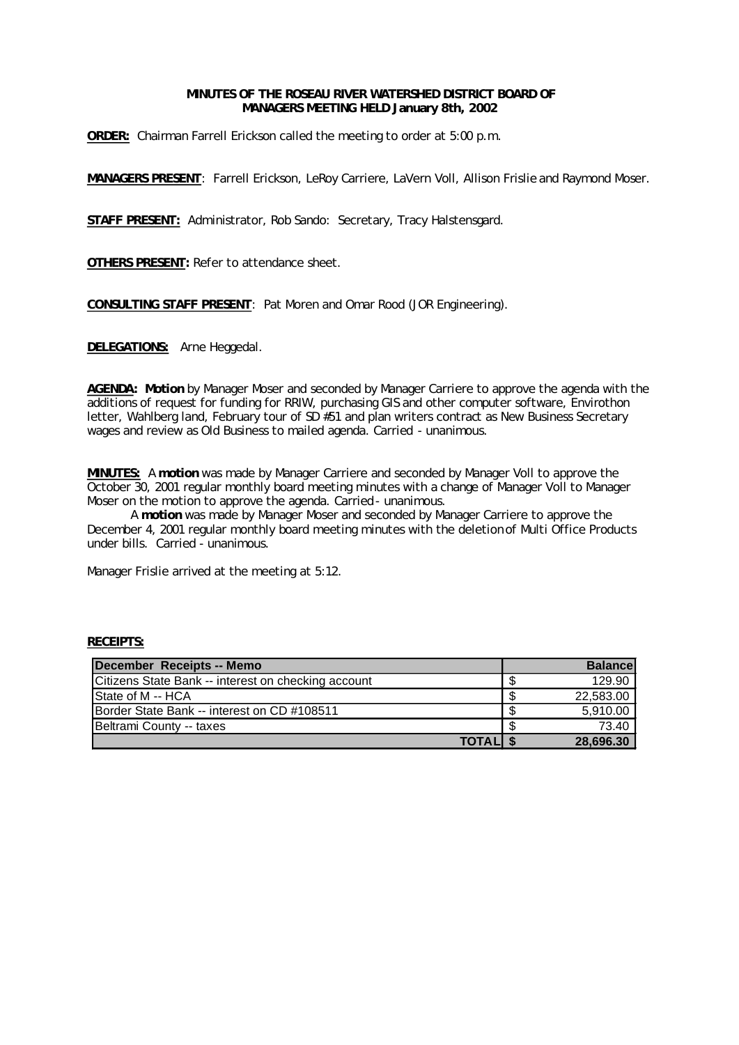# **MINUTES OF THE ROSEAU RIVER WATERSHED DISTRICT BOARD OF MANAGERS MEETING HELD January 8th, 2002**

**ORDER:** Chairman Farrell Erickson called the meeting to order at 5:00 p.m.

**MANAGERS PRESENT**: Farrell Erickson, LeRoy Carriere, LaVern Voll, Allison Frislie and Raymond Moser.

**STAFF PRESENT:** Administrator, Rob Sando: Secretary, Tracy Halstensgard.

**OTHERS PRESENT:** Refer to attendance sheet.

**CONSULTING STAFF PRESENT**: Pat Moren and Omar Rood (JOR Engineering).

**DELEGATIONS:** Arne Heggedal.

**AGENDA: Motion** by Manager Moser and seconded by Manager Carriere to approve the agenda with the additions of request for funding for RRIW, purchasing GIS and other computer software, Envirothon letter, Wahlberg land, February tour of SD #51 and plan writers contract as New Business Secretary wages and review as Old Business to mailed agenda. Carried - unanimous.

**MINUTES:** A **motion** was made by Manager Carriere and seconded by Manager Voll to approve the October 30, 2001 regular monthly board meeting minutes with a change of Manager Voll to Manager Moser on the motion to approve the agenda. Carried - unanimous.

A **motion** was made by Manager Moser and seconded by Manager Carriere to approve the December 4, 2001 regular monthly board meeting minutes with the deletion of Multi Office Products under bills. Carried - unanimous.

Manager Frislie arrived at the meeting at 5:12.

| December Receipts -- Memo                           | <b>Balancel</b> |
|-----------------------------------------------------|-----------------|
| Citizens State Bank -- interest on checking account | 129.90          |
| <b>State of M -- HCA</b>                            | 22,583.00       |
| Border State Bank -- interest on CD #108511         | 5,910.00        |
| Beltrami County -- taxes                            | 73.40           |
| <b>TOTALIS</b>                                      | 28,696.30       |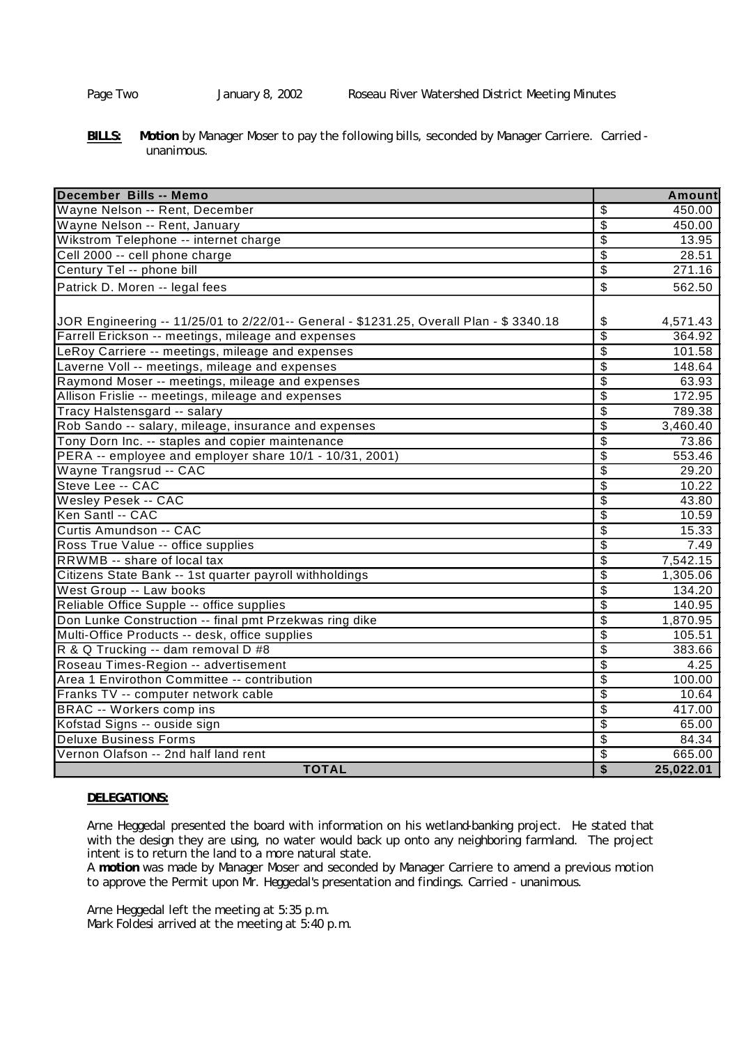**BILLS: Motion** by Manager Moser to pay the following bills, seconded by Manager Carriere. Carried unanimous.

| December Bills -- Memo                                                                   |                           | <b>Amount</b> |
|------------------------------------------------------------------------------------------|---------------------------|---------------|
| Wayne Nelson -- Rent, December                                                           | \$                        | 450.00        |
| Wayne Nelson -- Rent, January                                                            | $\overline{\mathcal{E}}$  | 450.00        |
| Wikstrom Telephone -- internet charge                                                    | $\overline{\mathcal{S}}$  | 13.95         |
| Cell 2000 -- cell phone charge                                                           | $\overline{\mathcal{S}}$  | 28.51         |
| Century Tel -- phone bill                                                                | $\overline{\mathfrak{s}}$ | 271.16        |
| Patrick D. Moren -- legal fees                                                           | \$                        | 562.50        |
| JJOR Engineering -- 11/25/01 to 2/22/01-- General - \$1231.25, Overall Plan - \$ 3340.18 | \$                        | 4,571.43      |
| Farrell Erickson -- meetings, mileage and expenses                                       | \$                        | 364.92        |
| LeRoy Carriere -- meetings, mileage and expenses                                         | $\overline{\$}$           | 101.58        |
| Laverne Voll -- meetings, mileage and expenses                                           | $\overline{\$}$           | 148.64        |
| Raymond Moser -- meetings, mileage and expenses                                          | $\overline{\mathcal{S}}$  | 63.93         |
| Allison Frislie -- meetings, mileage and expenses                                        | $\overline{\mathcal{S}}$  | 172.95        |
| Tracy Halstensgard -- salary                                                             | $\overline{\mathcal{E}}$  | 789.38        |
| Rob Sando -- salary, mileage, insurance and expenses                                     | $\overline{\$}$           | 3,460.40      |
| Tony Dorn Inc. -- staples and copier maintenance                                         | $\overline{\mathcal{E}}$  | 73.86         |
| PERA -- employee and employer share 10/1 - 10/31, 2001)                                  | $\overline{\$}$           | 553.46        |
| Wayne Trangsrud -- CAC                                                                   | $\overline{\$}$           | 29.20         |
| Steve Lee -- CAC                                                                         | $\overline{\mathfrak{s}}$ | 10.22         |
| <b>Wesley Pesek -- CAC</b>                                                               | $\overline{\mathfrak{s}}$ | 43.80         |
| Ken Santl -- CAC                                                                         | $\overline{\mathbb{S}}$   | 10.59         |
| Curtis Amundson -- CAC                                                                   | $\overline{\mathcal{S}}$  | 15.33         |
| Ross True Value -- office supplies                                                       | $\overline{\mathfrak{s}}$ | 7.49          |
| RRWMB -- share of local tax                                                              | $\overline{\mathcal{S}}$  | 7,542.15      |
| Citizens State Bank -- 1st quarter payroll withholdings                                  | $\overline{\mathbf{e}}$   | 1,305.06      |
| West Group -- Law books                                                                  | $\overline{\mathcal{E}}$  | 134.20        |
| Reliable Office Supple -- office supplies                                                | $\overline{\$}$           | 140.95        |
| Don Lunke Construction -- final pmt Przekwas ring dike                                   | $\overline{\mathfrak{s}}$ | 1,870.95      |
| Multi-Office Products -- desk, office supplies                                           | $\overline{\$}$           | 105.51        |
| R & Q Trucking -- dam removal D #8                                                       | $\overline{\mathcal{S}}$  | 383.66        |
| Roseau Times-Region -- advertisement                                                     | $\overline{\mathcal{S}}$  | 4.25          |
| Area 1 Envirothon Committee -- contribution                                              | $\overline{\mathcal{S}}$  | 100.00        |
| Franks TV -- computer network cable                                                      | \$                        | 10.64         |
| <b>BRAC</b> -- Workers comp ins                                                          | $\overline{\mathcal{S}}$  | 417.00        |
| Kofstad Signs -- ouside sign                                                             | $\overline{\mathfrak{s}}$ | 65.00         |
| <b>Deluxe Business Forms</b>                                                             | $\overline{\$}$           | 84.34         |
| Vernon Olafson -- 2nd half land rent                                                     | \$                        | 665.00        |
| <b>TOTAL</b>                                                                             | $\overline{\mathbf{S}}$   | 25,022.01     |

# **DELEGATIONS:**

Arne Heggedal presented the board with information on his wetland-banking project. He stated that with the design they are using, no water would back up onto any neighboring farmland. The project intent is to return the land to a more natural state.

A **motion** was made by Manager Moser and seconded by Manager Carriere to amend a previous motion to approve the Permit upon Mr. Heggedal's presentation and findings. Carried - unanimous.

Arne Heggedal left the meeting at 5:35 p.m. Mark Foldesi arrived at the meeting at 5:40 p.m.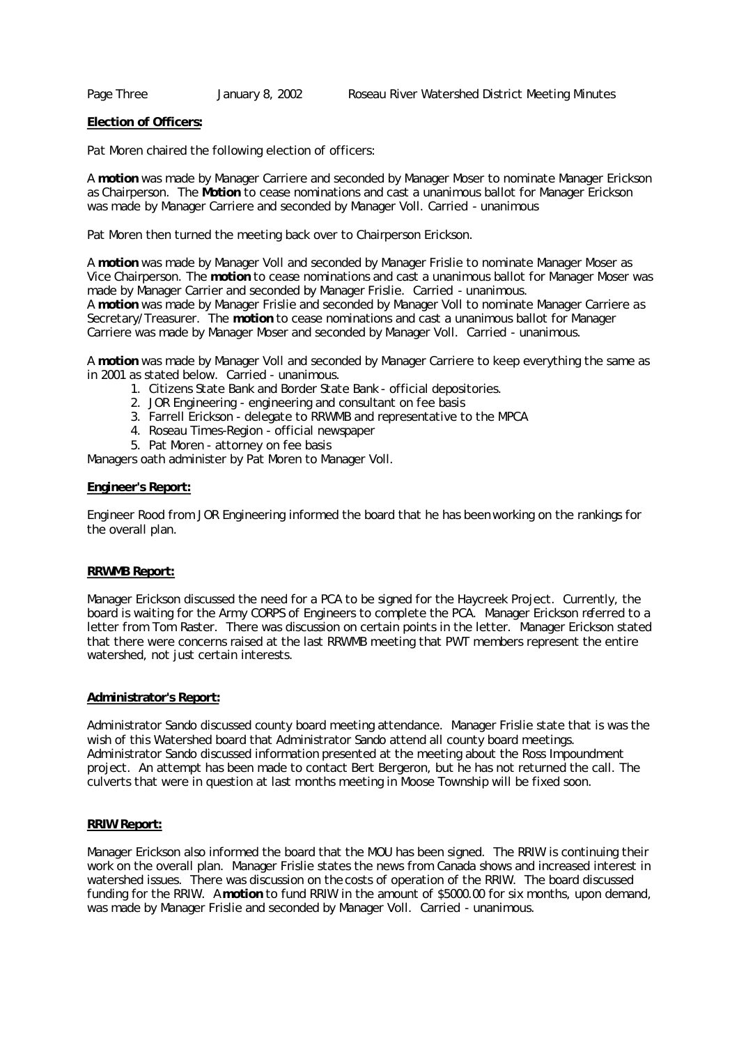# **Election of Officers:**

Pat Moren chaired the following election of officers:

A **motion** was made by Manager Carriere and seconded by Manager Moser to nominate Manager Erickson as Chairperson. The **Motion** to cease nominations and cast a unanimous ballot for Manager Erickson was made by Manager Carriere and seconded by Manager Voll. Carried - unanimous

Pat Moren then turned the meeting back over to Chairperson Erickson.

A **motion** was made by Manager Voll and seconded by Manager Frislie to nominate Manager Moser as Vice Chairperson. The **motion** to cease nominations and cast a unanimous ballot for Manager Moser was made by Manager Carrier and seconded by Manager Frislie. Carried - unanimous.

A **motion** was made by Manager Frislie and seconded by Manager Voll to nominate Manager Carriere as Secretary/Treasurer. The **motion** to cease nominations and cast a unanimous ballot for Manager Carriere was made by Manager Moser and seconded by Manager Voll. Carried - unanimous.

A **motion** was made by Manager Voll and seconded by Manager Carriere to keep everything the same as in 2001 as stated below. Carried - unanimous.

- 1. Citizens State Bank and Border State Bank official depositories.
- 2. JOR Engineering engineering and consultant on fee basis
- 3. Farrell Erickson delegate to RRWMB and representative to the MPCA
- 4. Roseau Times-Region official newspaper
- 5. Pat Moren attorney on fee basis

Managers oath administer by Pat Moren to Manager Voll.

## **Engineer's Report:**

Engineer Rood from JOR Engineering informed the board that he has been working on the rankings for the overall plan.

#### **RRWMB Report:**

Manager Erickson discussed the need for a PCA to be signed for the Haycreek Project. Currently, the board is waiting for the Army CORPS of Engineers to complete the PCA. Manager Erickson referred to a letter from Tom Raster. There was discussion on certain points in the letter. Manager Erickson stated that there were concerns raised at the last RRWMB meeting that PWT members represent the entire watershed, not just certain interests.

## **Administrator's Report:**

Administrator Sando discussed county board meeting attendance. Manager Frislie state that is was the wish of this Watershed board that Administrator Sando attend all county board meetings. Administrator Sando discussed information presented at the meeting about the Ross Impoundment project. An attempt has been made to contact Bert Bergeron, but he has not returned the call. The culverts that were in question at last months meeting in Moose Township will be fixed soon.

## **RRIW Report:**

Manager Erickson also informed the board that the MOU has been signed. The RRIW is continuing their work on the overall plan. Manager Frislie states the news from Canada shows and increased interest in watershed issues. There was discussion on the costs of operation of the RRIW. The board discussed funding for the RRIW. A **motion** to fund RRIW in the amount of \$5000.00 for six months, upon demand, was made by Manager Frislie and seconded by Manager Voll. Carried - unanimous.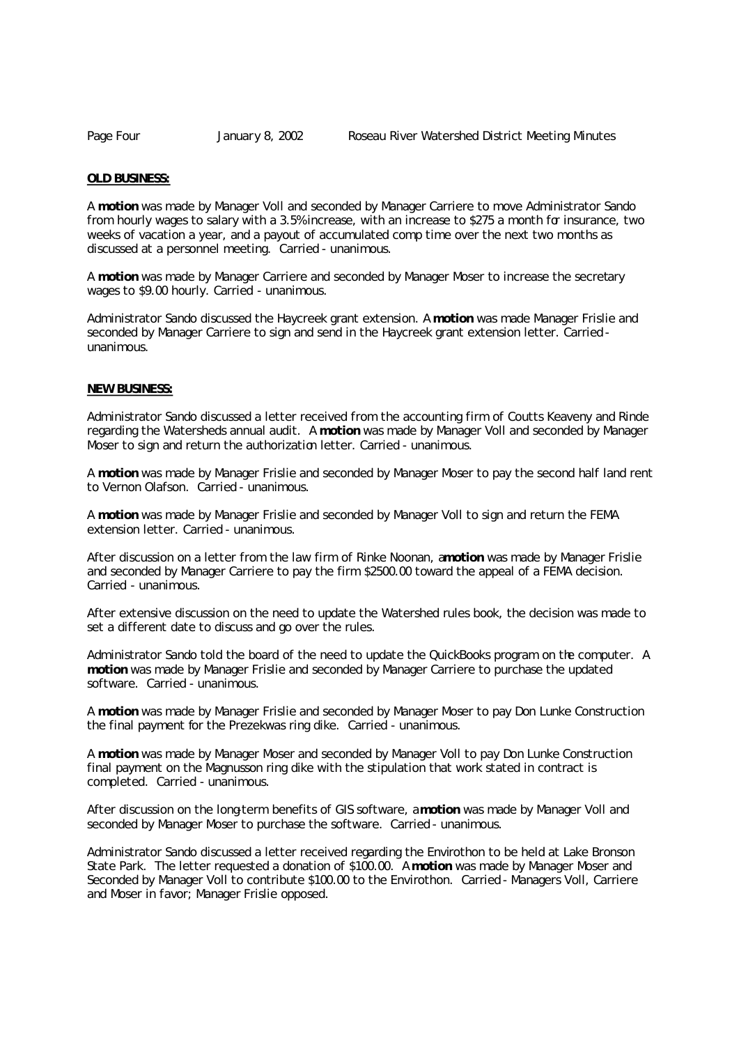#### **OLD BUSINESS:**

A **motion** was made by Manager Voll and seconded by Manager Carriere to move Administrator Sando from hourly wages to salary with a 3.5% increase, with an increase to \$275 a month for insurance, two weeks of vacation a year, and a payout of accumulated comp time over the next two months as discussed at a personnel meeting. Carried - unanimous.

A **motion** was made by Manager Carriere and seconded by Manager Moser to increase the secretary wages to \$9.00 hourly. Carried - unanimous.

Administrator Sando discussed the Haycreek grant extension. A **motion** was made Manager Frislie and seconded by Manager Carriere to sign and send in the Haycreek grant extension letter. Carried unanimous.

## **NEW BUSINESS:**

Administrator Sando discussed a letter received from the accounting firm of Coutts Keaveny and Rinde regarding the Watersheds annual audit. A **motion** was made by Manager Voll and seconded by Manager Moser to sign and return the authorization letter. Carried - unanimous.

A **motion** was made by Manager Frislie and seconded by Manager Moser to pay the second half land rent to Vernon Olafson. Carried - unanimous.

A **motion** was made by Manager Frislie and seconded by Manager Voll to sign and return the FEMA extension letter. Carried - unanimous.

After discussion on a letter from the law firm of Rinke Noonan, a **motion** was made by Manager Frislie and seconded by Manager Carriere to pay the firm \$2500.00 toward the appeal of a FEMA decision. Carried - unanimous.

After extensive discussion on the need to update the Watershed rules book, the decision was made to set a different date to discuss and go over the rules.

Administrator Sando told the board of the need to update the QuickBooks program on the computer. A **motion** was made by Manager Frislie and seconded by Manager Carriere to purchase the updated software. Carried - unanimous.

A **motion** was made by Manager Frislie and seconded by Manager Moser to pay Don Lunke Construction the final payment for the Prezekwas ring dike. Carried - unanimous.

A **motion** was made by Manager Moser and seconded by Manager Voll to pay Don Lunke Construction final payment on the Magnusson ring dike with the stipulation that work stated in contract is completed. Carried - unanimous.

After discussion on the long-term benefits of GIS software, a **motion** was made by Manager Voll and seconded by Manager Moser to purchase the software. Carried - unanimous.

Administrator Sando discussed a letter received regarding the Envirothon to be held at Lake Bronson State Park. The letter requested a donation of \$100.00. A **motion** was made by Manager Moser and Seconded by Manager Voll to contribute \$100.00 to the Envirothon. Carried - Managers Voll, Carriere and Moser in favor; Manager Frislie opposed.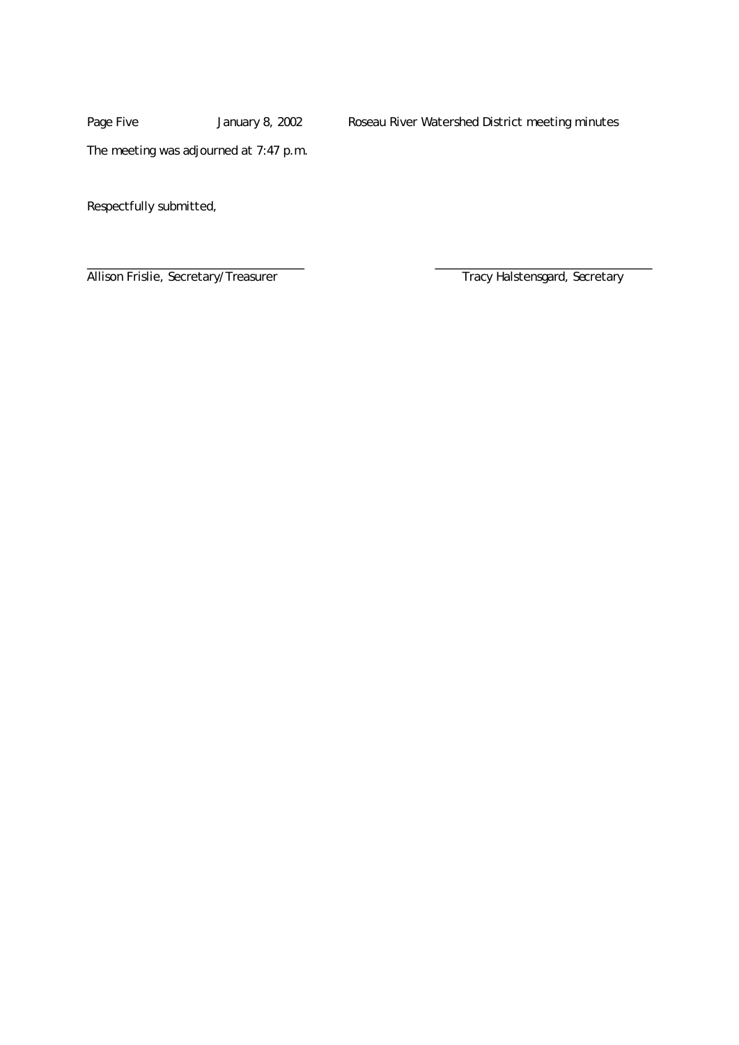Page Five January 8, 2002 Roseau River Watershed District meeting minutes

The meeting was adjourned at 7:47 p.m.

Respectfully submitted,

Allison Frislie, Secretary/Treasurer Tracy Halstensgard, Secretary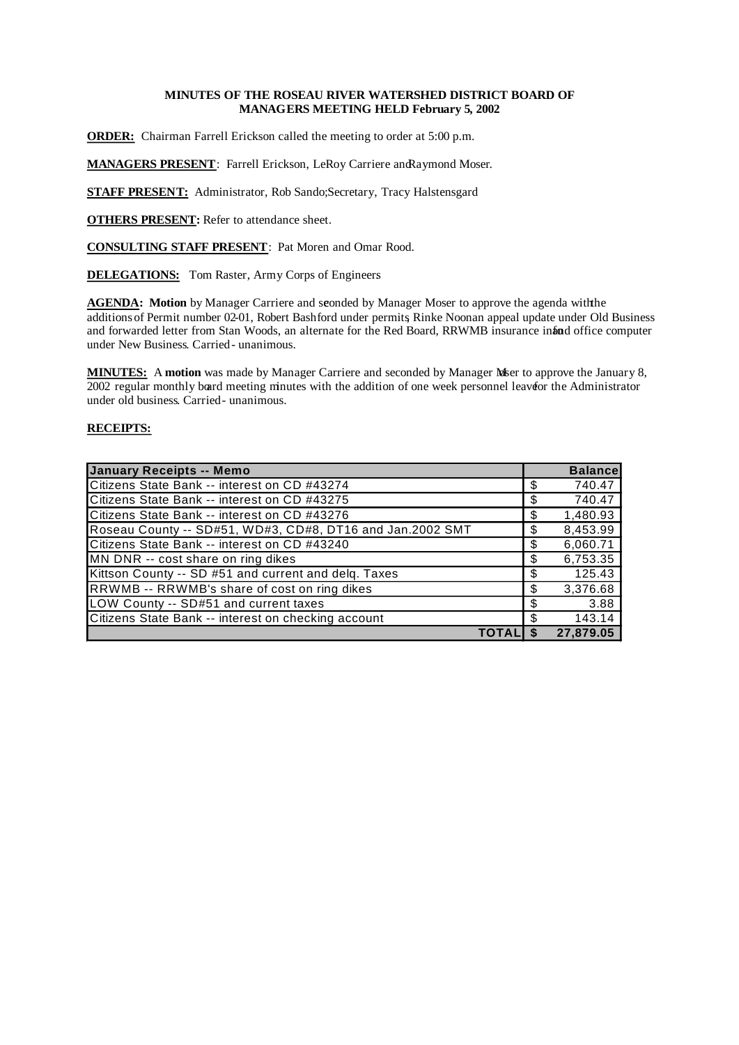# **MINUTES OF THE ROSEAU RIVER WATERSHED DISTRICT BOARD OF MANAGERS MEETING HELD February 5, 2002**

**ORDER:** Chairman Farrell Erickson called the meeting to order at 5:00 p.m.

**MANAGERS PRESENT**: Farrell Erickson, LeRoy Carriere and Raymond Moser.

**STAFF PRESENT:** Administrator, Rob Sando; Secretary, Tracy Halstensgard

**OTHERS PRESENT:** Refer to attendance sheet.

**CONSULTING STAFF PRESENT**: Pat Moren and Omar Rood.

**DELEGATIONS:** Tom Raster, Army Corps of Engineers

AGENDA: Motion by Manager Carriere and seonded by Manager Moser to approve the agenda with the additions of Permit number 02-01, Robert Bashford under permits, Rinke Noonan appeal update under Old Business and forwarded letter from Stan Woods, an alternate for the Red Board, RRWMB insurance infand o office computer under New Business. Carried- unanimous.

**MINUTES:** A motion was made by Manager Carriere and seconded by Manager Meer to approve the January 8, 2002 regular monthly board meeting minutes with the addition of one week personnel leaver the Administrator under old business. Carried - unanimous.

| January Receipts -- Memo                                  |    | <b>Balance</b> |
|-----------------------------------------------------------|----|----------------|
| Citizens State Bank -- interest on CD #43274              | \$ | 740.47         |
| Citizens State Bank -- interest on CD #43275              | S. | 740.47         |
| Citizens State Bank -- interest on CD #43276              | S  | 1,480.93       |
| Roseau County -- SD#51, WD#3, CD#8, DT16 and Jan.2002 SMT | \$ | 8,453.99       |
| Citizens State Bank -- interest on CD #43240              | \$ | 6,060.71       |
| MN DNR -- cost share on ring dikes                        | \$ | 6,753.35       |
| Kittson County -- SD #51 and current and delg. Taxes      | \$ | 125.43         |
| RRWMB -- RRWMB's share of cost on ring dikes              | \$ | 3,376.68       |
| LOW County -- SD#51 and current taxes                     |    | 3.88           |
| Citizens State Bank -- interest on checking account       |    | 143.14         |
|                                                           |    | 27,879.05      |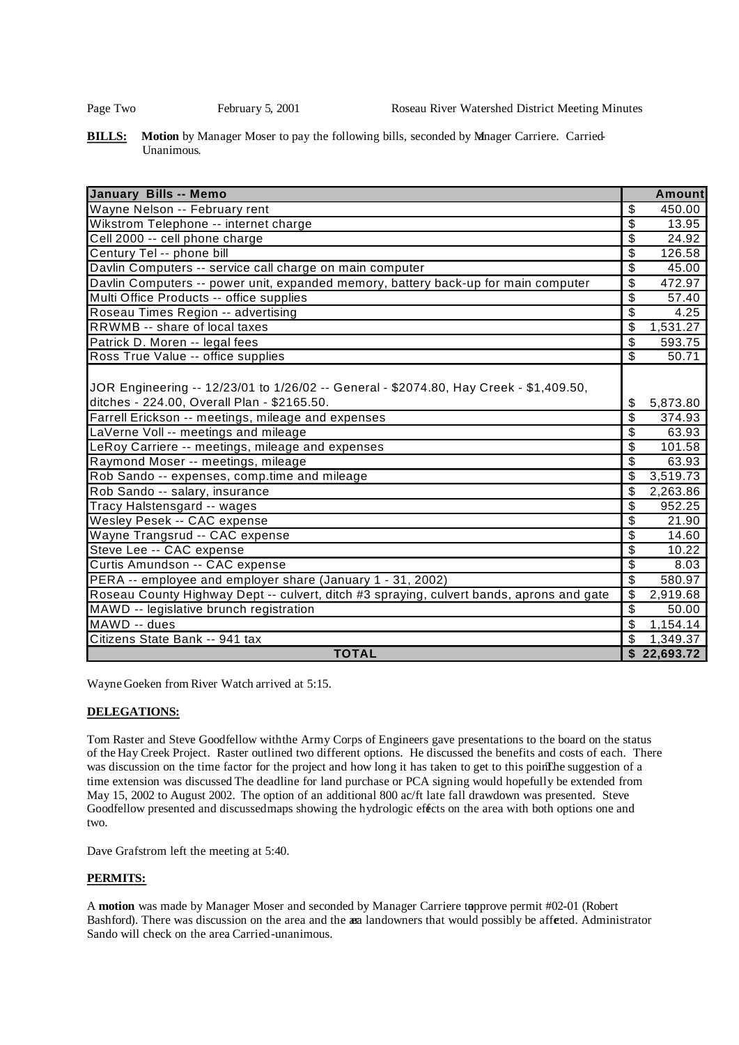**BILLS:** Motion by Manager Moser to pay the following bills, seconded by Manager Carriere. Carried-Unanimous.

| <b>January Bills -- Memo</b>                                                             | <b>Amount</b>                        |
|------------------------------------------------------------------------------------------|--------------------------------------|
| Wayne Nelson -- February rent                                                            | \$<br>450.00                         |
| Wikstrom Telephone -- internet charge                                                    | \$<br>13.95                          |
| Cell 2000 -- cell phone charge                                                           | \$<br>24.92                          |
| Century Tel -- phone bill                                                                | $\overline{\mathfrak{s}}$<br>126.58  |
| Davlin Computers -- service call charge on main computer                                 | \$<br>45.00                          |
| Davlin Computers -- power unit, expanded memory, battery back-up for main computer       | $\overline{\mathcal{S}}$<br>472.97   |
| Multi Office Products -- office supplies                                                 | $\overline{\mathbb{S}}$<br>57.40     |
| Roseau Times Region -- advertising                                                       | \$<br>4.25                           |
| RRWMB -- share of local taxes                                                            | \$<br>1,531.27                       |
| Patrick D. Moren -- legal fees                                                           | $\overline{\$}$<br>593.75            |
| Ross True Value -- office supplies                                                       | \$<br>50.71                          |
|                                                                                          |                                      |
| JOR Engineering -- 12/23/01 to 1/26/02 -- General - \$2074.80, Hay Creek - \$1,409.50,   |                                      |
| ditches - 224.00, Overall Plan - \$2165.50.                                              | \$<br>5,873.80                       |
| Farrell Erickson -- meetings, mileage and expenses                                       | $\overline{\mathcal{S}}$<br>374.93   |
| LaVerne Voll -- meetings and mileage                                                     | $\boldsymbol{\mathsf{S}}$<br>63.93   |
| LeRoy Carriere -- meetings, mileage and expenses                                         | \$<br>101.58                         |
| Raymond Moser -- meetings, mileage                                                       | \$<br>63.93                          |
| Rob Sando -- expenses, comp.time and mileage                                             | \$<br>3,519.73                       |
| Rob Sando -- salary, insurance                                                           | \$<br>2,263.86                       |
| Tracy Halstensgard -- wages                                                              | $\overline{\mathcal{S}}$<br>952.25   |
| Wesley Pesek -- CAC expense                                                              | $\overline{\mathfrak{s}}$<br>21.90   |
| Wayne Trangsrud -- CAC expense                                                           | \$<br>14.60                          |
| Steve Lee -- CAC expense                                                                 | \$<br>10.22                          |
| Curtis Amundson -- CAC expense                                                           | $\overline{\$}$<br>8.03              |
| PERA -- employee and employer share (January 1 - 31, 2002)                               | $\overline{\mathcal{S}}$<br>580.97   |
| Roseau County Highway Dept -- culvert, ditch #3 spraying, culvert bands, aprons and gate | $\overline{\mathcal{S}}$<br>2,919.68 |
| MAWD -- legislative brunch registration                                                  | $\overline{\mathcal{S}}$<br>50.00    |
| MAWD -- dues                                                                             | \$<br>1,154.14                       |
| Citizens State Bank -- 941 tax                                                           | \$<br>1,349.37                       |
| <b>TOTAL</b>                                                                             | $\overline{\$}$ 22,693.72            |

Wayne Goeken from River Watch arrived at 5:15.

## **DELEGATIONS:**

Tom Raster and Steve Goodfellow withthe Army Corps of Engineers gave presentations to the board on the status of the Hay Creek Project. Raster outlined two different options. He discussed the benefits and costs of each. There was discussion on the time factor for the project and how long it has taken to get to this point. The suggestion of a time extension was discussed. The deadline for land purchase or PCA signing would hopefully be extended from May 15, 2002 to August 2002. The option of an additional 800 ac/ft late fall drawdown was presented. Steve Goodfellow presented and discussedmaps showing the hydrologic effects on the area with both options one and two.

Dave Grafstrom left the meeting at 5:40.

## **PERMITS:**

A motion was made by Manager Moser and seconded by Manager Carriere topprove permit #02-01 (Robert Bashford). There was discussion on the area and the area landowners that would possibly be affected. Administrator Sando will check on the area Carried-unanimous.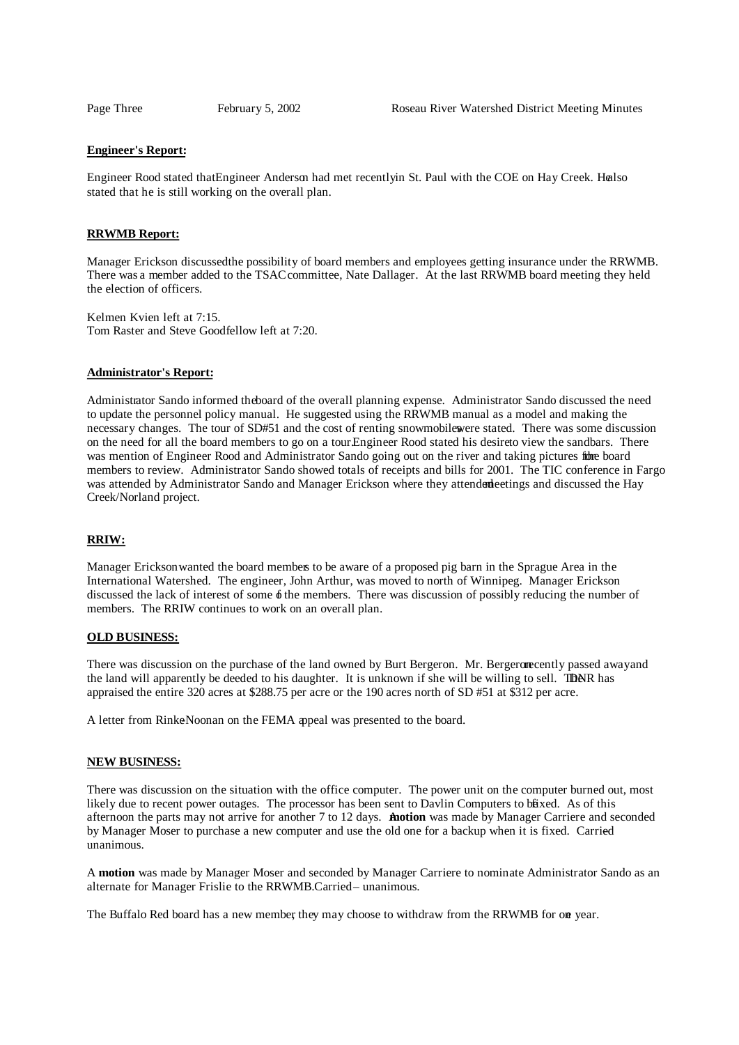#### **Engineer's Report:**

Engineer Rood stated that Engineer Anderson had met recentlyin St. Paul with the COE on Hay Creek. Healso stated that he is still working on the overall plan.

#### **RRWMB Report:**

Manager Erickson discussedthe possibility of board members and employees getting insurance under the RRWMB. There was a member added to the TSAC committee, Nate Dallager. At the last RRWMB board meeting they held the election of officers.

Kelmen Kvien left at 7:15. Tom Raster and Steve Goodfellow left at 7:20.

## **Administrator's Report:**

Administrator Sando informed the board of the overall planning expense. Administrator Sando discussed the need to update the personnel policy manual. He suggested using the RRWMB manual as a model and making the necessary changes. The tour of SD#51 and the cost of renting snowmobilewere stated. There was some discussion on the need for all the board members to go on a tour. Engineer Rood stated his desireto view the sandbars. There was mention of Engineer Rood and Administrator Sando going out on the river and taking pictures fibre board members to review. Administrator Sando showed totals of receipts and bills for 2001. The TIC conference in Fargo was attended by Administrator Sando and Manager Erickson where they attended eetings and discussed the Hay Creek/Norland project.

#### **RRIW:**

Manager Erickson wanted the board members to be aware of a proposed pig barn in the Sprague Area in the International Watershed. The engineer, John Arthur, was moved to north of Winnipeg. Manager Erickson discussed the lack of interest of some  $\phi$  the members. There was discussion of possibly reducing the number of members. The RRIW continues to work on an overall plan.

#### **OLD BUSINESS:**

There was discussion on the purchase of the land owned by Burt Bergeron. Mr. Bergerom ecently passed awayand the land will apparently be deeded to his daughter. It is unknown if she will be willing to sell. TIDNR has appraised the entire 320 acres at \$288.75 per acre or the 190 acres north of SD #51 at \$312 per acre.

A letter from RinkeNoonan on the FEMA appeal was presented to the board.

#### **NEW BUSINESS:**

There was discussion on the situation with the office computer. The power unit on the computer burned out, most likely due to recent power outages. The processor has been sent to Davlin Computers to baxed. As of this afternoon the parts may not arrive for another 7 to 12 days. A **motion** was made by Manager Carriere and seconded by Manager Moser to purchase a new computer and use the old one for a backup when it is fixed. Carried – unanimous.

A **motion** was made by Manager Moser and seconded by Manager Carriere to nominate Administrator Sando as an alternate for Manager Frislie to the RRWMB .Carried– unanimous.

The Buffalo Red board has a new member they may choose to withdraw from the RRWMB for one year.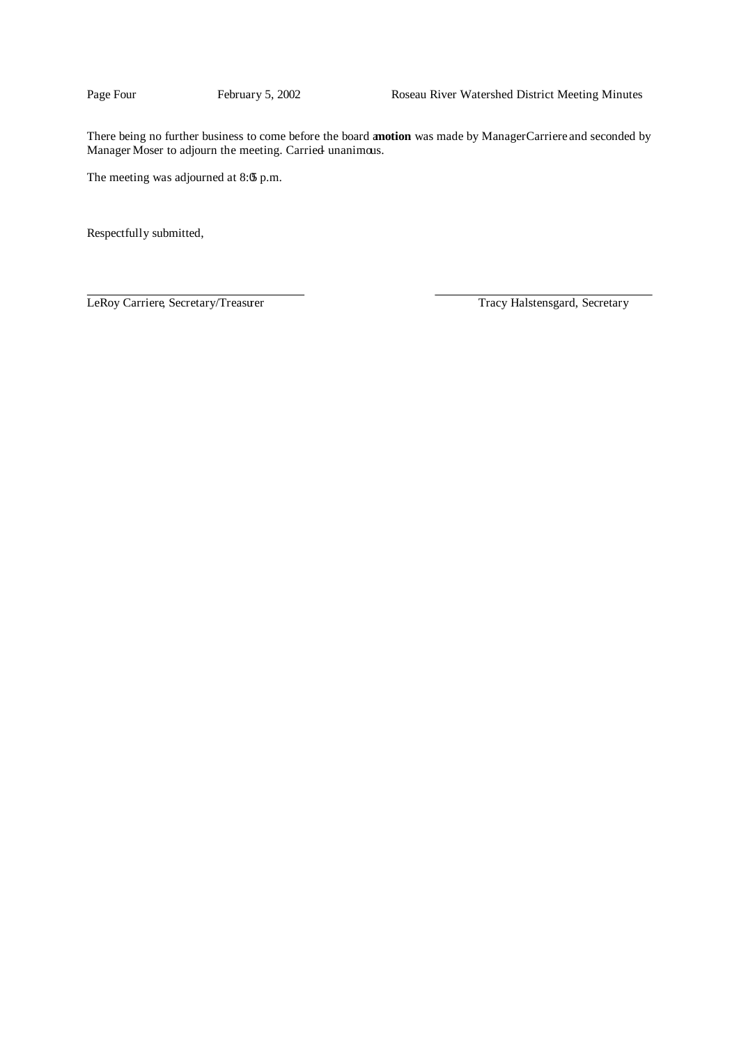There being no further business to come before the board a**motion** was made by ManagerCarriere and seconded by Manager Moser to adjourn the meeting. Carried unanimous.

The meeting was adjourned at 8:05 p.m.

Respectfully submitted,

LeRoy Carriere, Secretary/Treasurer Tracy Halstensgard, Secretary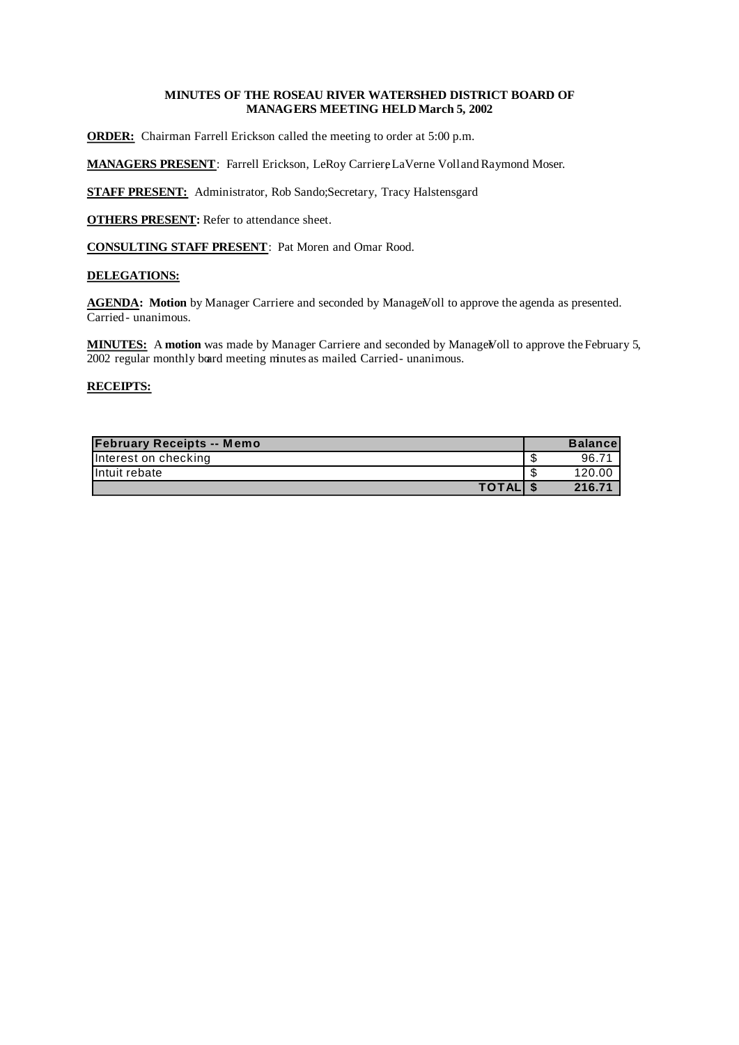# **MINUTES OF THE ROSEAU RIVER WATERSHED DISTRICT BOARD OF MANAGERS MEETING HELD March 5, 2002**

**ORDER:** Chairman Farrell Erickson called the meeting to order at 5:00 p.m.

**MANAGERS PRESENT**: Farrell Erickson, LeRoy Carriere, LaVerne Voll and Raymond Moser.

**STAFF PRESENT:** Administrator, Rob Sando; Secretary, Tracy Halstensgard

**OTHERS PRESENT:** Refer to attendance sheet.

**CONSULTING STAFF PRESENT**: Pat Moren and Omar Rood.

# **DELEGATIONS:**

AGENDA: Motion by Manager Carriere and seconded by ManageNoll to approve the agenda as presented. Carried - unanimous.

MINUTES: A motion was made by Manager Carriere and seconded by ManageVoll to approve the February 5, 2002 regular monthly board meeting minutes as mailed Carried-unanimous.

| <b>February Receipts -- Memo</b> |   | <b>Balance</b> |
|----------------------------------|---|----------------|
| Interest on checking             | ъ | 96.71          |
| Intuit rebate                    | ъ | 120.00         |
| TOTAL \$                         |   | 216.71         |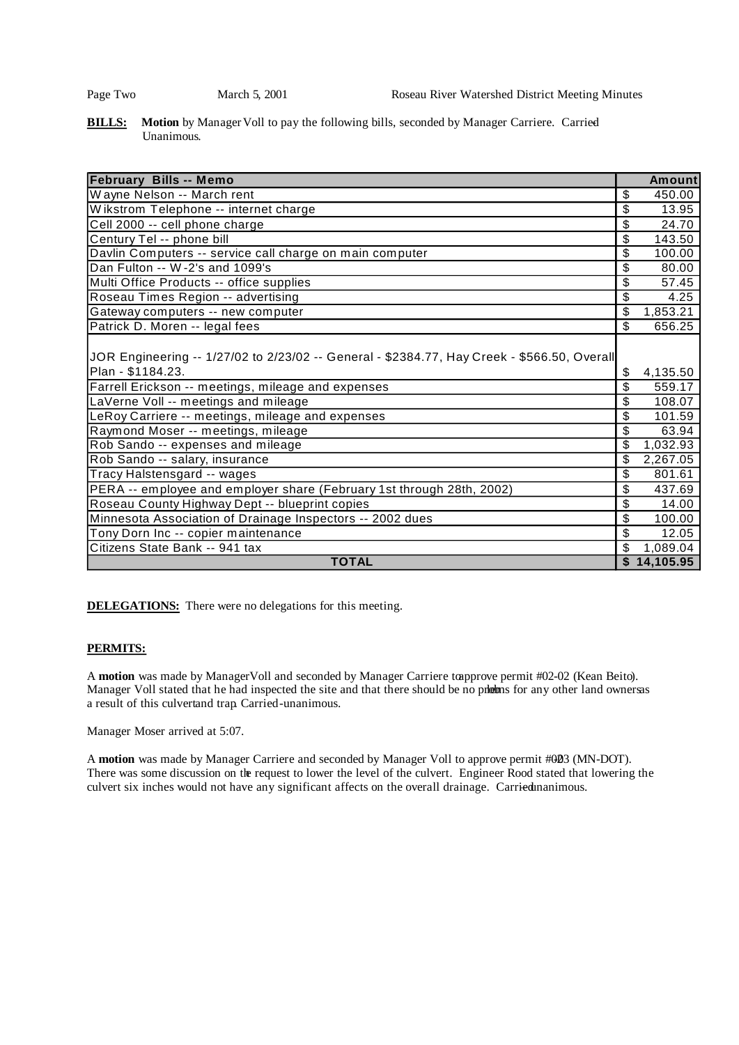**BILLS:** Motion by Manager Voll to pay the following bills, seconded by Manager Carriere. Carried Unanimous.

| <b>February Bills -- Memo</b>                                                               | <b>Amount</b>  |
|---------------------------------------------------------------------------------------------|----------------|
| Wayne Nelson -- March rent                                                                  | \$<br>450.00   |
| Wikstrom Telephone -- internet charge                                                       | \$<br>13.95    |
| Cell 2000 -- cell phone charge                                                              | \$<br>24.70    |
| Century Tel -- phone bill                                                                   | \$<br>143.50   |
| Davlin Computers -- service call charge on main computer                                    | \$<br>100.00   |
| Dan Fulton -- W-2's and 1099's                                                              | \$<br>80.00    |
| Multi Office Products -- office supplies                                                    | \$<br>57.45    |
| Roseau Times Region -- advertising                                                          | \$<br>4.25     |
| Gateway computers -- new computer                                                           | \$<br>1,853.21 |
| Patrick D. Moren -- legal fees                                                              | \$<br>656.25   |
| JOR Engineering -- 1/27/02 to 2/23/02 -- General - \$2384.77, Hay Creek - \$566.50, Overall |                |
| Plan - \$1184.23.                                                                           | \$<br>4,135.50 |
| Farrell Erickson -- meetings, mileage and expenses                                          | \$<br>559.17   |
| LaVerne Voll -- meetings and mileage                                                        | \$<br>108.07   |
| LeRoy Carriere -- meetings, mileage and expenses                                            | \$<br>101.59   |
| Raymond Moser -- meetings, mileage                                                          | \$<br>63.94    |
| Rob Sando -- expenses and mileage                                                           | \$<br>1,032.93 |
| Rob Sando -- salary, insurance                                                              | \$<br>2,267.05 |
| Tracy Halstensgard -- wages                                                                 | \$<br>801.61   |
| PERA -- employee and employer share (February 1st through 28th, 2002)                       | \$<br>437.69   |
| Roseau County Highway Dept -- blueprint copies                                              | \$<br>14.00    |
| Minnesota Association of Drainage Inspectors -- 2002 dues                                   | \$<br>100.00   |
| Tony Dorn Inc -- copier maintenance                                                         | \$<br>12.05    |
| Citizens State Bank -- 941 tax                                                              | \$<br>1,089.04 |
| <b>TOTAL</b>                                                                                | \$14,105.95    |

**DELEGATIONS:** There were no delegations for this meeting.

## **PERMITS:**

A motion was made by Manager Voll and seconded by Manager Carriere to approve permit #02-02 (Kean Beito). Manager Voll stated that he had inspected the site and that there should be no prlems for any other land owners as a result of this culvertand trap. Carried-unanimous.

Manager Moser arrived at 5:07.

A motion was made by Manager Carriere and seconded by Manager Voll to approve permit #003 (MN-DOT). There was some discussion on the request to lower the level of the culvert. Engineer Rood stated that lowering the culvert six inches would not have any significant affects on the overall drainage. Carried unanimous.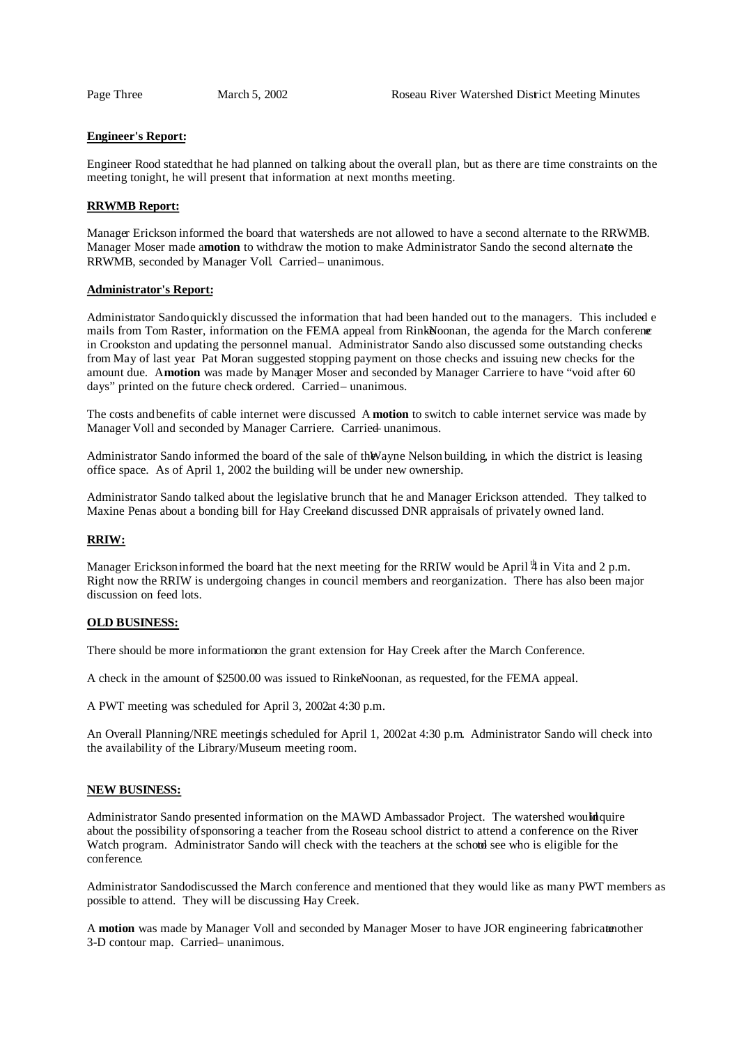#### **Engineer's Report:**

Engineer Rood statedthat he had planned on talking about the overall plan, but as there are time constraints on the meeting tonight, he will present that information at next months meeting.

## **RRWMB Report:**

Manager Erickson informed the board that watersheds are not allowed to have a second alternate to the RRWMB. Manager Moser made a**motion** to withdraw the motion to make Administrator Sando the second alternato the RRWMB, seconded by Manager Voll. Carried – unanimous.

#### **Administrator's Report:**

Administrator Sando quickly discussed the information that had been handed out to the managers. This included e mails from Tom Raster, information on the FEMA appeal from RinkNoonan, the agenda for the March conference in Crookston and updating the personnel manual. Administrator Sando also discussed some outstanding checks from May of last year. Pat Moran suggested stopping payment on those checks and issuing new checks for the amount due. A **motion** was made by Manager Moser and seconded by Manager Carriere to have "void after 60 days" printed on the future check ordered. Carried– unanimous.

The costs and benefits of cable internet were discussed. A **motion** to switch to cable internet service was made by Manager Voll and seconded by Manager Carriere. Carried– unanimous.

Administrator Sando informed the board of the sale of the Wayne Nelson building, in which the district is leasing office space. As of April 1, 2002 the building will be under new ownership.

Administrator Sando talked about the legislative brunch that he and Manager Erickson attended. They talked to Maxine Penas about a bonding bill for Hay Creek and discussed DNR appraisals of privately owned land.

#### **RRIW:**

Manager Erickson informed the board hat the next meeting for the RRIW would be April  $4$  in Vita and 2 p.m. Right now the RRIW is undergoing changes in council members and reorganization. There has also been major discussion on feed lots.

#### **OLD BUSINESS:**

There should be more information on the grant extension for Hay Creek after the March Conference.

A check in the amount of \$2500.00 was issued to RinkeNoonan, as requested, for the FEMA appeal.

A PWT meeting was scheduled for April 3, 2002at 4:30 p.m.

An Overall Planning/NRE meeting is scheduled for April 1, 2002 at 4:30 p.m. Administrator Sando will check into the availability of the Library/Museum meeting room.

#### **NEW BUSINESS:**

Administrator Sando presented information on the MAWD Ambassador Project. The watershed would quire about the possibility of sponsoring a teacher from the Roseau school district to attend a conference on the River Watch program. Administrator Sando will check with the teachers at the schotd see who is eligible for the conference.

Administrator Sandodiscussed the March conference and mentioned that they would like as many PWT members as possible to attend. They will be discussing Hay Creek.

A motion was made by Manager Voll and seconded by Manager Moser to have JOR engineering fabricated other 3-D contour map. Carried – unanimous.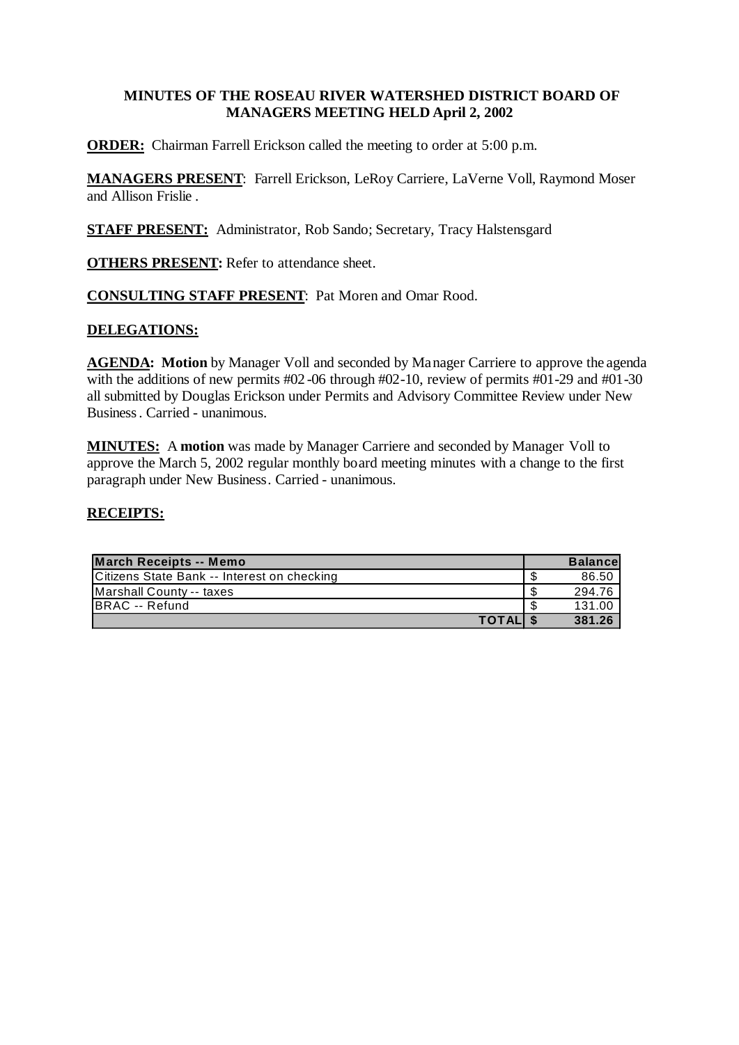# **MINUTES OF THE ROSEAU RIVER WATERSHED DISTRICT BOARD OF MANAGERS MEETING HELD April 2, 2002**

**ORDER:** Chairman Farrell Erickson called the meeting to order at 5:00 p.m.

**MANAGERS PRESENT**: Farrell Erickson, LeRoy Carriere, LaVerne Voll, Raymond Moser and Allison Frislie .

**STAFF PRESENT:** Administrator, Rob Sando; Secretary, Tracy Halstensgard

**OTHERS PRESENT:** Refer to attendance sheet.

**CONSULTING STAFF PRESENT**: Pat Moren and Omar Rood.

# **DELEGATIONS:**

**AGENDA: Motion** by Manager Voll and seconded by Manager Carriere to approve the agenda with the additions of new permits  $\text{\#}02$ -06 through  $\text{\#}02$ -10, review of permits  $\text{\#}01$ -29 and  $\text{\#}01$ -30 all submitted by Douglas Erickson under Permits and Advisory Committee Review under New Business. Carried - unanimous.

**MINUTES:** A **motion** was made by Manager Carriere and seconded by Manager Voll to approve the March 5, 2002 regular monthly board meeting minutes with a change to the first paragraph under New Business. Carried - unanimous.

| March Receipts -- Memo                      | <b>Balancel</b> |
|---------------------------------------------|-----------------|
| Citizens State Bank -- Interest on checking | 86.50           |
| Marshall County -- taxes                    | 294.76          |
| BRAC -- Refund                              | 131.00          |
| <b>TOTALIS</b>                              | 381.26          |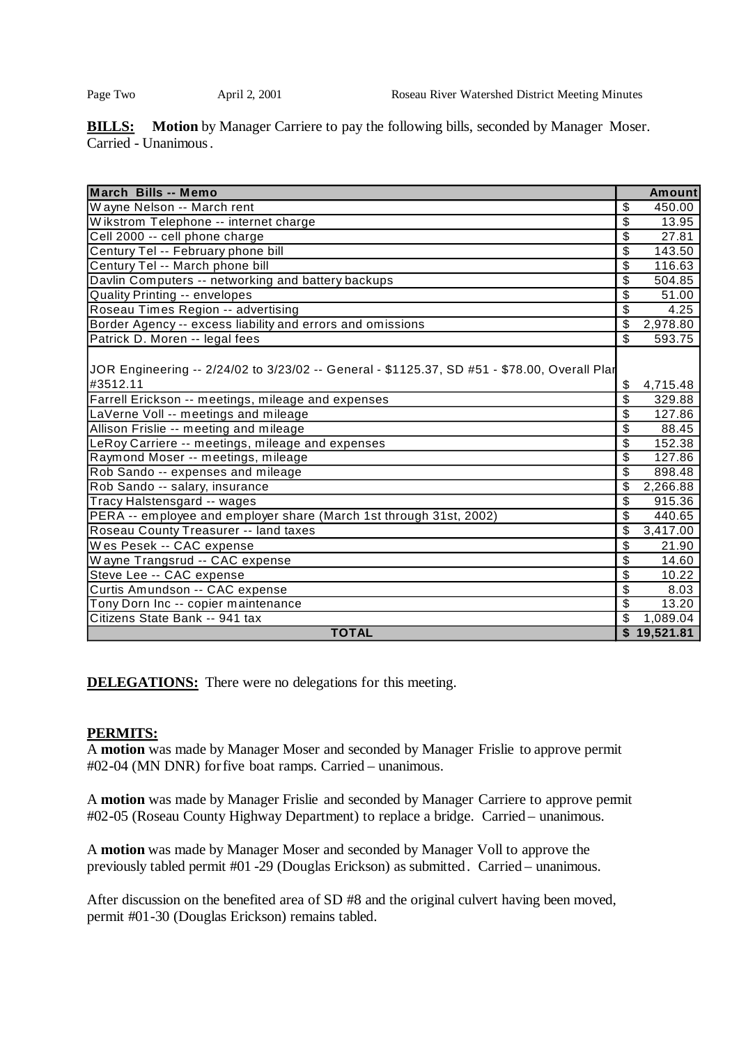**BILLS:** Motion by Manager Carriere to pay the following bills, seconded by Manager Moser. Carried - Unanimous.

| March Bills -- Memo                                                                                      |                         | <b>Amount</b> |
|----------------------------------------------------------------------------------------------------------|-------------------------|---------------|
| Wayne Nelson -- March rent                                                                               | \$                      | 450.00        |
| Wikstrom Telephone -- internet charge                                                                    | \$                      | 13.95         |
| Cell 2000 -- cell phone charge                                                                           | \$                      | 27.81         |
| Century Tel -- February phone bill                                                                       | \$                      | 143.50        |
| Century Tel -- March phone bill                                                                          | \$                      | 116.63        |
| Davlin Computers -- networking and battery backups                                                       | \$                      | 504.85        |
| <b>Quality Printing -- envelopes</b>                                                                     | \$                      | 51.00         |
| Roseau Times Region -- advertising                                                                       | \$                      | 4.25          |
| Border Agency -- excess liability and errors and omissions                                               | \$                      | 2,978.80      |
| Patrick D. Moren -- legal fees                                                                           | \$                      | 593.75        |
| JOR Engineering -- 2/24/02 to 3/23/02 -- General - \$1125.37, SD #51 - \$78.00, Overall Plar<br>#3512.11 | \$                      | 4,715.48      |
| Farrell Erickson -- meetings, mileage and expenses                                                       | \$                      | 329.88        |
| LaVerne Voll -- meetings and mileage                                                                     | \$                      | 127.86        |
| Allison Frislie -- meeting and mileage                                                                   | $\overline{\mathbb{S}}$ | 88.45         |
| LeRoy Carriere -- meetings, mileage and expenses                                                         | \$                      | 152.38        |
| Raymond Moser -- meetings, mileage                                                                       | \$                      | 127.86        |
| Rob Sando -- expenses and mileage                                                                        | \$                      | 898.48        |
| Rob Sando -- salary, insurance                                                                           | \$                      | 2,266.88      |
| Tracy Halstensgard -- wages                                                                              | \$                      | 915.36        |
| PERA -- employee and employer share (March 1st through 31st, 2002)                                       | \$                      | 440.65        |
| Roseau County Treasurer -- land taxes                                                                    | \$                      | 3,417.00      |
| Wes Pesek -- CAC expense                                                                                 | \$                      | 21.90         |
| Wayne Trangsrud -- CAC expense                                                                           | \$                      | 14.60         |
| Steve Lee -- CAC expense                                                                                 | \$                      | 10.22         |
| Curtis Amundson -- CAC expense                                                                           | \$                      | 8.03          |
| Tony Dorn Inc -- copier maintenance                                                                      | \$                      | 13.20         |
| Citizens State Bank -- 941 tax                                                                           | \$                      | 1,089.04      |
| <b>TOTAL</b>                                                                                             |                         | \$19,521.81   |

**DELEGATIONS:** There were no delegations for this meeting.

# **PERMITS:**

A **motion** was made by Manager Moser and seconded by Manager Frislie to approve permit #02-04 (MN DNR) forfive boat ramps. Carried – unanimous.

A **motion** was made by Manager Frislie and seconded by Manager Carriere to approve permit #02-05 (Roseau County Highway Department) to replace a bridge. Carried – unanimous.

A **motion** was made by Manager Moser and seconded by Manager Voll to approve the previously tabled permit #01 -29 (Douglas Erickson) as submitted. Carried – unanimous.

After discussion on the benefited area of SD #8 and the original culvert having been moved, permit #01-30 (Douglas Erickson) remains tabled.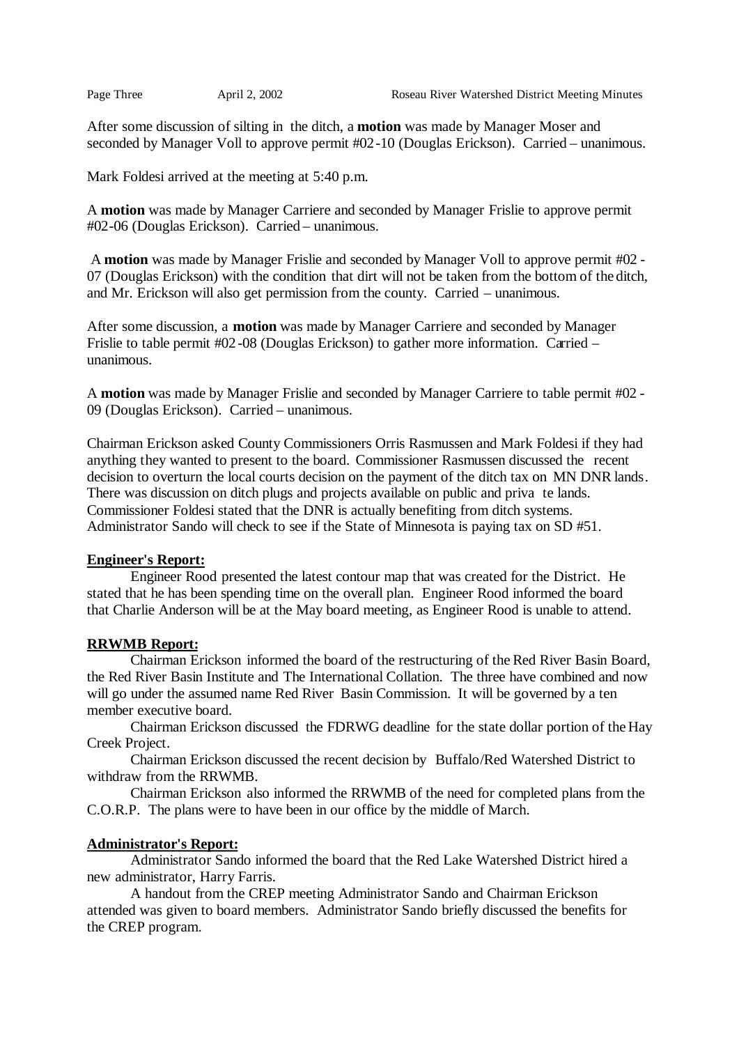After some discussion of silting in the ditch, a **motion** was made by Manager Moser and seconded by Manager Voll to approve permit #02-10 (Douglas Erickson). Carried – unanimous.

Mark Foldesi arrived at the meeting at 5:40 p.m.

A **motion** was made by Manager Carriere and seconded by Manager Frislie to approve permit #02-06 (Douglas Erickson). Carried – unanimous.

A **motion** was made by Manager Frislie and seconded by Manager Voll to approve permit #02 - 07 (Douglas Erickson) with the condition that dirt will not be taken from the bottom of the ditch, and Mr. Erickson will also get permission from the county. Carried – unanimous.

After some discussion, a **motion** was made by Manager Carriere and seconded by Manager Frislie to table permit #02 -08 (Douglas Erickson) to gather more information. Carried – unanimous.

A **motion** was made by Manager Frislie and seconded by Manager Carriere to table permit #02 - 09 (Douglas Erickson). Carried – unanimous.

Chairman Erickson asked County Commissioners Orris Rasmussen and Mark Foldesi if they had anything they wanted to present to the board. Commissioner Rasmussen discussed the recent decision to overturn the local courts decision on the payment of the ditch tax on MN DNR lands. There was discussion on ditch plugs and projects available on public and priva te lands. Commissioner Foldesi stated that the DNR is actually benefiting from ditch systems. Administrator Sando will check to see if the State of Minnesota is paying tax on SD #51.

# **Engineer's Report:**

Engineer Rood presented the latest contour map that was created for the District. He stated that he has been spending time on the overall plan. Engineer Rood informed the board that Charlie Anderson will be at the May board meeting, as Engineer Rood is unable to attend.

# **RRWMB Report:**

Chairman Erickson informed the board of the restructuring of the Red River Basin Board, the Red River Basin Institute and The International Collation. The three have combined and now will go under the assumed name Red River Basin Commission. It will be governed by a ten member executive board.

Chairman Erickson discussed the FDRWG deadline for the state dollar portion of the Hay Creek Project.

Chairman Erickson discussed the recent decision by Buffalo/Red Watershed District to withdraw from the RRWMB.

Chairman Erickson also informed the RRWMB of the need for completed plans from the C.O.R.P. The plans were to have been in our office by the middle of March.

# **Administrator's Report:**

Administrator Sando informed the board that the Red Lake Watershed District hired a new administrator, Harry Farris.

A handout from the CREP meeting Administrator Sando and Chairman Erickson attended was given to board members. Administrator Sando briefly discussed the benefits for the CREP program.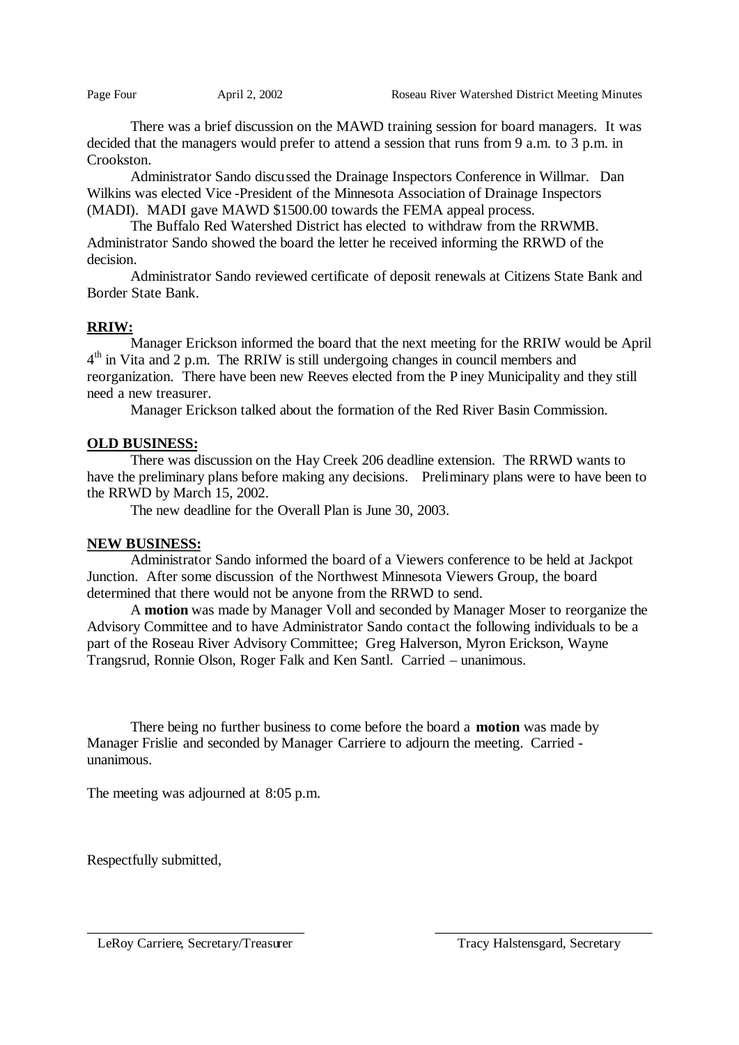There was a brief discussion on the MAWD training session for board managers. It was decided that the managers would prefer to attend a session that runs from 9 a.m. to 3 p.m. in Crookston.

Administrator Sando discussed the Drainage Inspectors Conference in Willmar. Dan Wilkins was elected Vice -President of the Minnesota Association of Drainage Inspectors (MADI). MADI gave MAWD \$1500.00 towards the FEMA appeal process.

The Buffalo Red Watershed District has elected to withdraw from the RRWMB. Administrator Sando showed the board the letter he received informing the RRWD of the decision.

Administrator Sando reviewed certificate of deposit renewals at Citizens State Bank and Border State Bank.

# **RRIW:**

Manager Erickson informed the board that the next meeting for the RRIW would be April 4<sup>th</sup> in Vita and 2 p.m. The RRIW is still undergoing changes in council members and reorganization. There have been new Reeves elected from the P iney Municipality and they still need a new treasurer.

Manager Erickson talked about the formation of the Red River Basin Commission.

# **OLD BUSINESS:**

There was discussion on the Hay Creek 206 deadline extension. The RRWD wants to have the preliminary plans before making any decisions. Preliminary plans were to have been to the RRWD by March 15, 2002.

The new deadline for the Overall Plan is June 30, 2003.

# **NEW BUSINESS:**

Administrator Sando informed the board of a Viewers conference to be held at Jackpot Junction. After some discussion of the Northwest Minnesota Viewers Group, the board determined that there would not be anyone from the RRWD to send.

A **motion** was made by Manager Voll and seconded by Manager Moser to reorganize the Advisory Committee and to have Administrator Sando contact the following individuals to be a part of the Roseau River Advisory Committee; Greg Halverson, Myron Erickson, Wayne Trangsrud, Ronnie Olson, Roger Falk and Ken Santl. Carried – unanimous.

There being no further business to come before the board a **motion** was made by Manager Frislie and seconded by Manager Carriere to adjourn the meeting. Carried unanimous.

The meeting was adjourned at 8:05 p.m.

Respectfully submitted,

LeRoy Carriere, Secretary/Treasurer Tracy Halstensgard, Secretary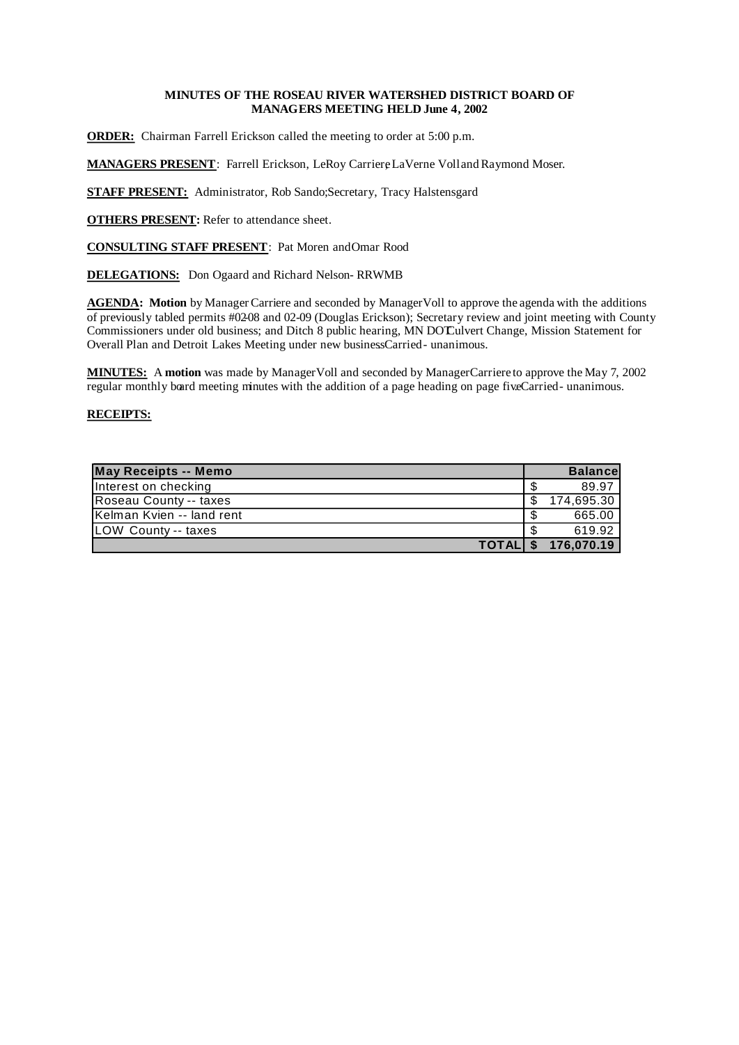# **MINUTES OF THE ROSEAU RIVER WATERSHED DISTRICT BOARD OF MANAGERS MEETING HELD June 4, 2002**

**ORDER:** Chairman Farrell Erickson called the meeting to order at 5:00 p.m.

**MANAGERS PRESENT**: Farrell Erickson, LeRoy Carriere, LaVerne Voll and Raymond Moser.

**STAFF PRESENT:** Administrator, Rob Sando; Secretary, Tracy Halstensgard

**OTHERS PRESENT:** Refer to attendance sheet.

**CONSULTING STAFF PRESENT**: Pat Moren and Omar Rood

**DELEGATIONS:** Don Ogaard and Richard Nelson-RRWMB

**AGENDA: Motion** by Manager Carriere and seconded by Manager Voll to approve the agenda with the additions of previously tabled permits #02-08 and 02-09 (Douglas Erickson); Secretary review and joint meeting with County Commissioners under old business; and Ditch 8 public hearing, MN DOT Culvert Change, Mission Statement for Overall Plan and Detroit Lakes Meeting under new businessCarried - unanimous.

**MINUTES:** A **motion** was made by Manager Voll and seconded by Manager Carriere to approve the May 7, 2002 regular monthly board meeting minutes with the addition of a page heading on page fiveCarried-unanimous.

| <b>May Receipts -- Memo</b> |      | <b>Balancel</b>     |
|-----------------------------|------|---------------------|
| Interest on checking        |      | 89.97               |
| Roseau County -- taxes      | \$.  | 174.695.30          |
| Kelman Kvien -- land rent   | - \$ | 665.00              |
| LOW County -- taxes         |      | 619.92              |
|                             |      | TOTAL \$ 176,070.19 |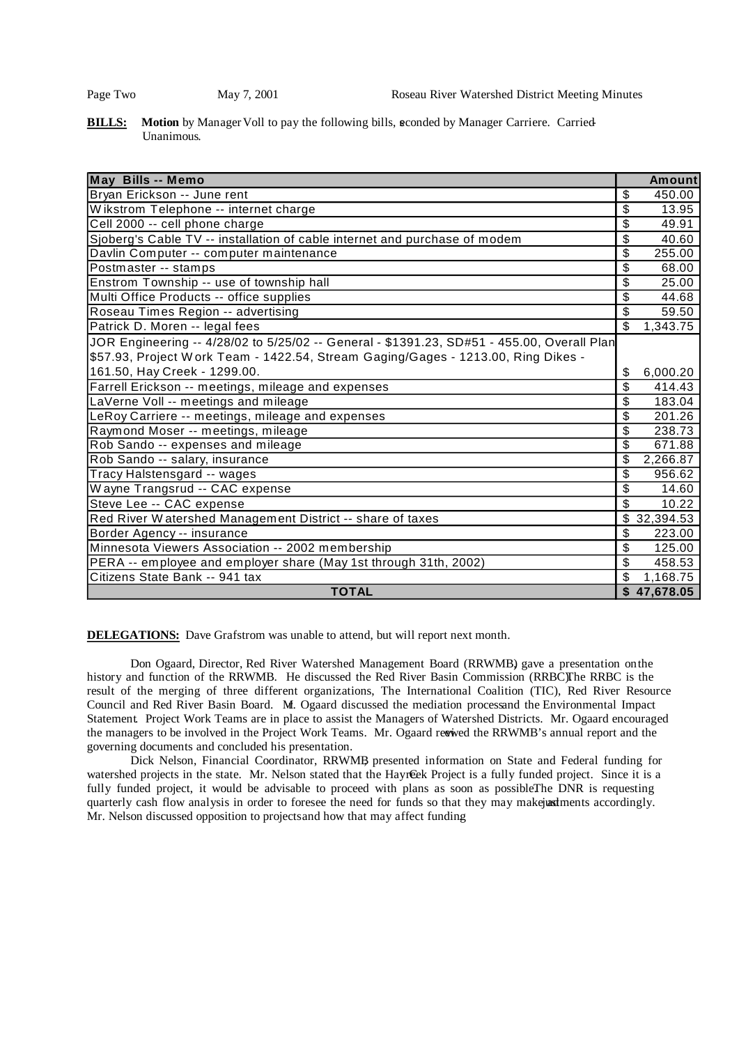**BILLS:** Motion by Manager Voll to pay the following bills, sconded by Manager Carriere. Carried-Unanimous.

| May Bills -- Memo                                                                          |                          | <b>Amount</b> |
|--------------------------------------------------------------------------------------------|--------------------------|---------------|
| Bryan Erickson -- June rent                                                                | \$                       | 450.00        |
| Wikstrom Telephone -- internet charge                                                      | \$                       | 13.95         |
| Cell 2000 -- cell phone charge                                                             | \$                       | 49.91         |
| Sjoberg's Cable TV -- installation of cable internet and purchase of modem                 | \$                       | 40.60         |
| Davlin Computer -- computer maintenance                                                    | \$                       | 255.00        |
| Postmaster -- stamps                                                                       | \$                       | 68.00         |
| Enstrom Township -- use of township hall                                                   | \$                       | 25.00         |
| Multi Office Products -- office supplies                                                   | \$                       | 44.68         |
| Roseau Times Region -- advertising                                                         | \$                       | 59.50         |
| Patrick D. Moren -- legal fees                                                             | \$                       | 1,343.75      |
| JOR Engineering -- 4/28/02 to 5/25/02 -- General - \$1391.23, SD#51 - 455.00, Overall Plan |                          |               |
| \$57.93, Project Work Team - 1422.54, Stream Gaging/Gages - 1213.00, Ring Dikes -          |                          |               |
| 161.50, Hay Creek - 1299.00.                                                               | \$                       | 6,000.20      |
| Farrell Erickson -- meetings, mileage and expenses                                         | $\overline{\mathcal{S}}$ | 414.43        |
| LaVerne Voll -- meetings and mileage                                                       | \$                       | 183.04        |
| LeRoy Carriere -- meetings, mileage and expenses                                           | \$                       | 201.26        |
| Raymond Moser -- meetings, mileage                                                         | \$                       | 238.73        |
| Rob Sando -- expenses and mileage                                                          | \$                       | 671.88        |
| Rob Sando -- salary, insurance                                                             | \$                       | 2,266.87      |
| Tracy Halstensgard -- wages                                                                | \$                       | 956.62        |
| Wayne Trangsrud -- CAC expense                                                             | \$                       | 14.60         |
| Steve Lee -- CAC expense                                                                   | \$                       | 10.22         |
| Red River Watershed Management District -- share of taxes                                  | \$                       | 32,394.53     |
| Border Agency -- insurance                                                                 | \$                       | 223.00        |
| Minnesota Viewers Association -- 2002 membership                                           | \$                       | 125.00        |
| PERA -- employee and employer share (May 1st through 31th, 2002)                           | \$                       | 458.53        |
| Citizens State Bank -- 941 tax                                                             | \$                       | 1,168.75      |
| <b>TOTAL</b>                                                                               |                          | \$47,678.05   |

**DELEGATIONS:** Dave Grafstrom was unable to attend, but will report next month.

Don Ogaard, Director, Red River Watershed Management Board (RRWMB) gave a presentation onthe history and function of the RRWMB. He discussed the Red River Basin Commission (RRBC)The RRBC is the result of the merging of three different organizations, The International Coalition (TIC), Red River Resource Council and Red River Basin Board. M. Ogaard discussed the mediation processand the Environmental Impact Statement. Project Work Teams are in place to assist the Managers of Watershed Districts. Mr. Ogaard encouraged the managers to be involved in the Project Work Teams. Mr. Ogaard rewived the RRWMB's annual report and the governing documents and concluded his presentation.

Dick Nelson, Financial Coordinator, RRWMB, presented information on State and Federal funding for watershed projects in the state. Mr. Nelson stated that the HayrCek Project is a fully funded project. Since it is a fully funded project, it would be advisable to proceed with plans as soon as possibleThe DNR is requesting quarterly cash flow analysis in order to foresee the need for funds so that they may makejustments accordingly. Mr. Nelson discussed opposition to projects and how that may affect funding.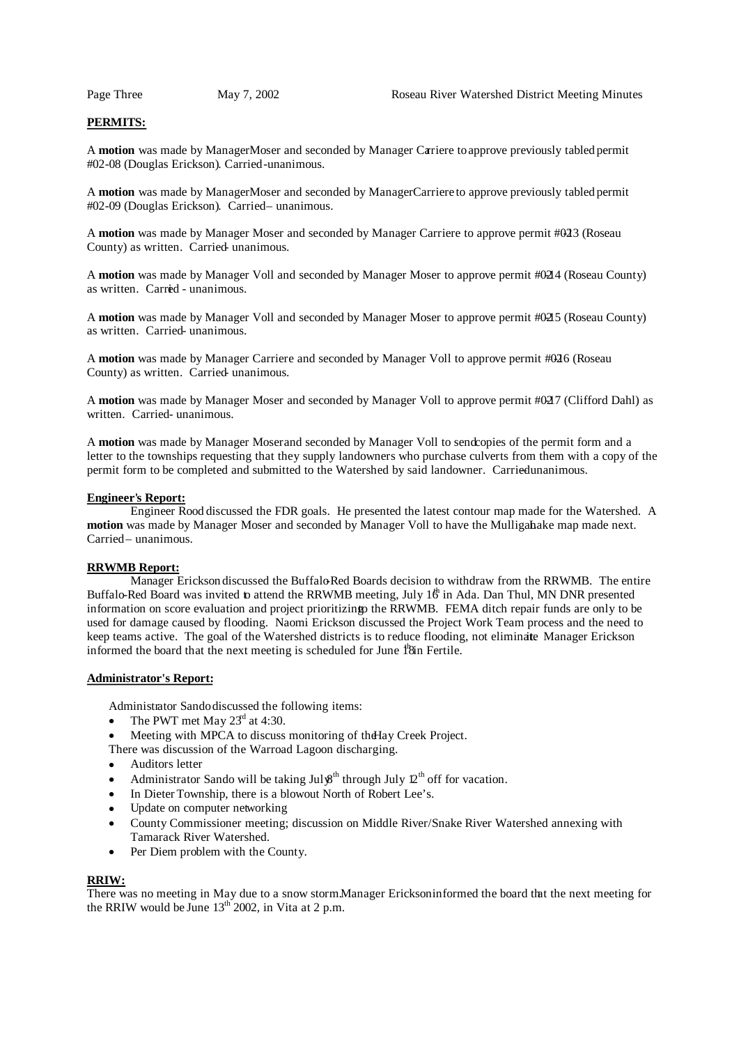# **PERMITS:**

A **motion** was made by Manager Moser and seconded by Manager Carriere to approve previously tabled permit #02-08 (Douglas Erickson). Carried-unanimous.

A **motion** was made by Manager Moser and seconded by Manager Carriere to approve previously tabled permit #02-09 (Douglas Erickson). Carried – unanimous.

A **motion** was made by Manager Moser and seconded by Manager Carriere to approve permit #023 (Roseau County) as written. Carried- unanimous.

A **motion** was made by Manager Voll and seconded by Manager Moser to approve permit #0214 (Roseau County) as written. Carried - unanimous.

A **motion** was made by Manager Voll and seconded by Manager Moser to approve permit #0215 (Roseau County) as written. Carried- unanimous.

A **motion** was made by Manager Carriere and seconded by Manager Voll to approve permit #0216 (Roseau County) as written. Carried- unanimous.

A motion was made by Manager Moser and seconded by Manager Voll to approve permit #027 (Clifford Dahl) as written. Carried- unanimous.

A **motion** was made by Manager Moserand seconded by Manager Voll to send copies of the permit form and a letter to the townships requesting that they supply landowners who purchase culverts from them with a copy of the permit form to be completed and submitted to the Watershed by said landowner. Carried unanimous.

## **Engineer's Report:**

Engineer Rood discussed the FDR goals. He presented the latest contour map made for the Watershed. A **motion** was made by Manager Moser and seconded by Manager Voll to have the Mulliganake map made next. Carried – unanimous.

#### **RRWMB Report:**

Manager Erickson discussed the Buffalo-Red Boards decision to withdraw from the RRWMB. The entire Buffalo-Red Board was invited to attend the RRWMB meeting, July 1 $\ddot{\theta}$  in Ada. Dan Thul, MN DNR presented information on score evaluation and project prioritizing to the RRWMB. FEMA ditch repair funds are only to be used for damage caused by flooding. Naomi Erickson discussed the Project Work Team process and the need to keep teams active. The goal of the Watershed districts is to reduce flooding, not eliminate Manager Erickson informed the board that the next meeting is scheduled for June 18th Fertile.

#### **Administrator's Report:**

Administrator Sando discussed the following items:

- The PWT met May  $23<sup>d</sup>$  at 4:30.
- Meeting with MPCA to discuss monitoring of the Hay Creek Project.

There was discussion of the Warroad Lagoon discharging.

- Auditors letter
- Administrator Sando will be taking July<sup>gth</sup> through July  $2<sup>th</sup>$  off for vacation.
- In Dieter Township, there is a blowout North of Robert Lee's.
- Update on computer networking
- County Commissioner meeting; discussion on Middle River/Snake River Watershed annexing with Tamarack River Watershed.
- Per Diem problem with the County.

### **RRIW:**

There was no meeting in May due to a snow storm.Manager Erickson informed the board that the next meeting for the RRIW would be June  $13^{th}$  2002, in Vita at 2 p.m.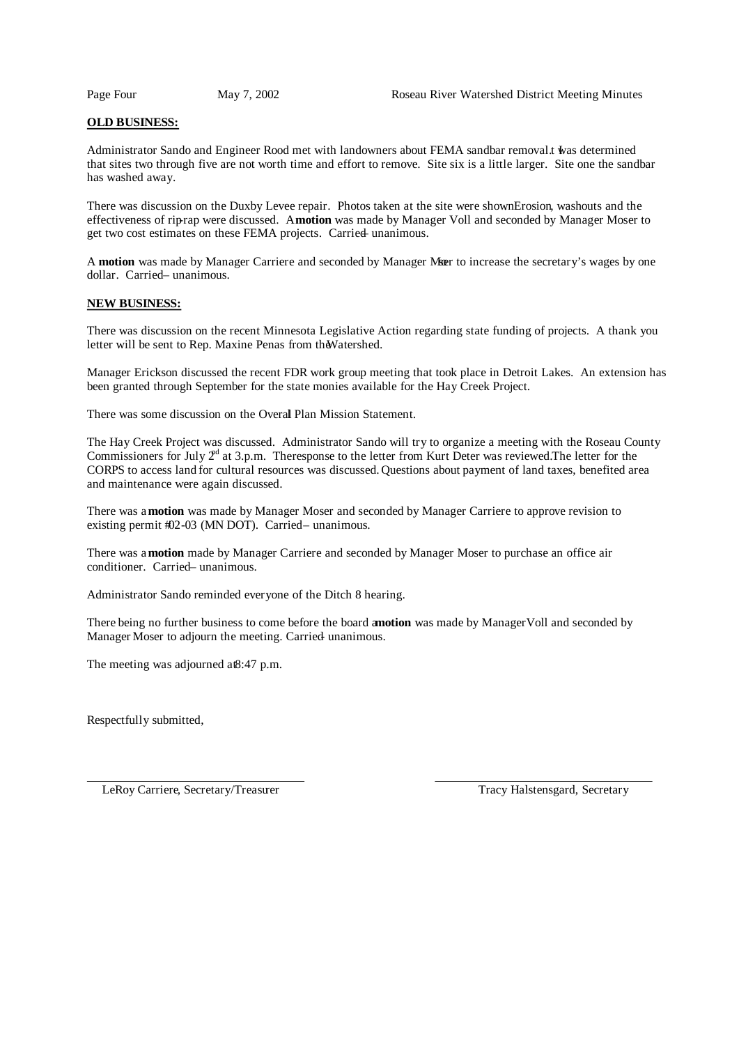# **OLD BUSINESS:**

Administrator Sando and Engineer Rood met with landowners about FEMA sandbar removal. twas determined that sites two through five are not worth time and effort to remove. Site six is a little larger. Site one the sandbar has washed away.

There was discussion on the Duxby Levee repair. Photos taken at the site were shownErosion, washouts and the effectiveness of riprap were discussed. Amotion was made by Manager Voll and seconded by Manager Moser to get two cost estimates on these FEMA projects. Carried unanimous.

A motion was made by Manager Carriere and seconded by Manager Mar to increase the secretary's wages by one dollar. Carried-unanimous.

## **NEW BUSINESS:**

There was discussion on the recent Minnesota Legislative Action regarding state funding of projects. A thank you letter will be sent to Rep. Maxine Penas from theWatershed.

Manager Erickson discussed the recent FDR work group meeting that took place in Detroit Lakes. An extension has been granted through September for the state monies available for the Hay Creek Project.

There was some discussion on the Overal Plan Mission Statement.

The Hay Creek Project was discussed. Administrator Sando will try to organize a meeting with the Roseau County Commissioners for July  $2<sup>d</sup>$  at 3.p.m. Theresponse to the letter from Kurt Deter was reviewed.The letter for the CORPS to access land for cultural resources was discussed. Questions about payment of land taxes, benefited area and maintenance were again discussed.

There was a**motion** was made by Manager Moser and seconded by Manager Carriere to approve revision to existing permit  $#02-03$  (MN DOT). Carried – unanimous.

There was a**motion** made by Manager Carriere and seconded by Manager Moser to purchase an office air conditioner. Carried – unanimous.

Administrator Sando reminded everyone of the Ditch 8 hearing.

There being no further business to come before the board a**motion** was made by ManagerVoll and seconded by Manager Moser to adjourn the meeting. Carried unanimous.

The meeting was adjourned at 8:47 p.m.

Respectfully submitted,

LeRoy Carriere, Secretary/Treasurer Tracy Halstensgard, Secretary Tracy Halstensgard, Secretary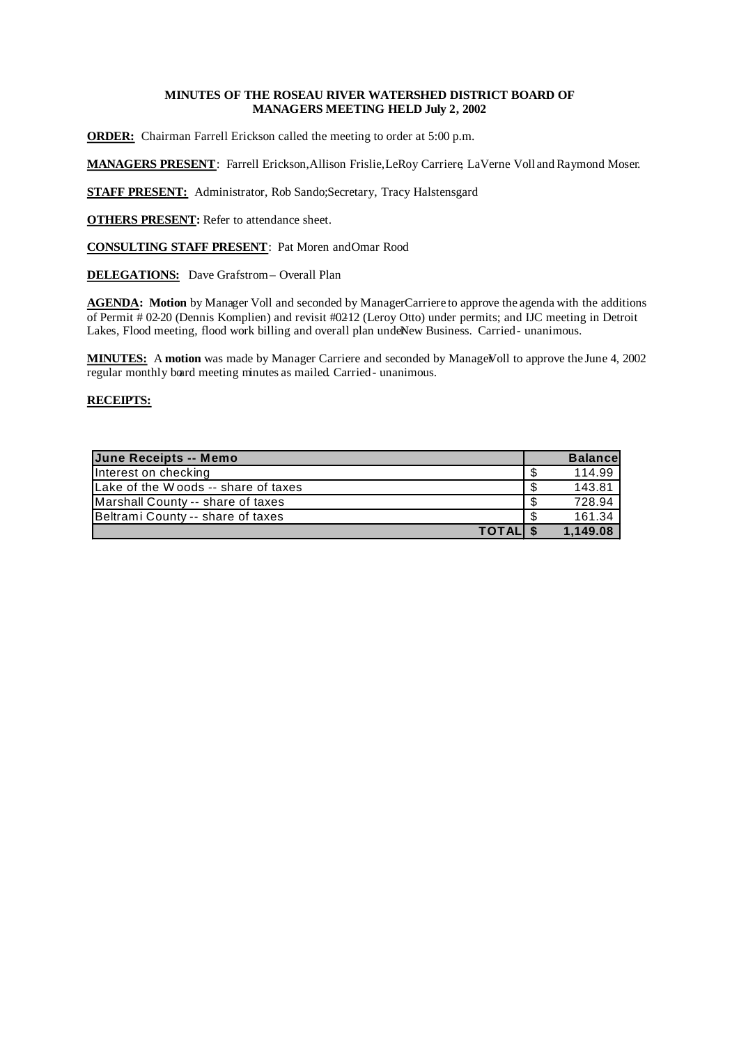# **MINUTES OF THE ROSEAU RIVER WATERSHED DISTRICT BOARD OF MANAGERS MEETING HELD July 2, 2002**

**ORDER:** Chairman Farrell Erickson called the meeting to order at 5:00 p.m.

**MANAGERS PRESENT**: Farrell Erickson, Allison Frislie, LeRoy Carriere, LaVerne Voll and Raymond Moser.

**STAFF PRESENT:** Administrator, Rob Sando; Secretary, Tracy Halstensgard

**OTHERS PRESENT:** Refer to attendance sheet.

**CONSULTING STAFF PRESENT**: Pat Moren and Omar Rood

**DELEGATIONS:** Dave Grafstrom– Overall Plan

AGENDA: Motion by Manager Voll and seconded by ManagerCarriere to approve the agenda with the additions of Permit # 02-20 (Dennis Komplien) and revisit #02-12 (Leroy Otto) under permits; and IJC meeting in Detroit Lakes, Flood meeting, flood work billing and overall plan undeNew Business. Carried- unanimous.

MINUTES: A motion was made by Manager Carriere and seconded by ManageVoll to approve the June 4, 2002 regular monthly board meeting minutes as mailed. Carried- unanimous.

| June Receipts -- Memo               |      | <b>Balancel</b> |
|-------------------------------------|------|-----------------|
| Interest on checking                | -S   | 114.99          |
| Lake of the Woods -- share of taxes | \$   | 143.81          |
| Marshall County -- share of taxes   | \$.  | 728.94          |
| Beltrami County -- share of taxes   | - \$ | 161.34          |
| <b>TOTALI</b>                       |      | 1,149.08        |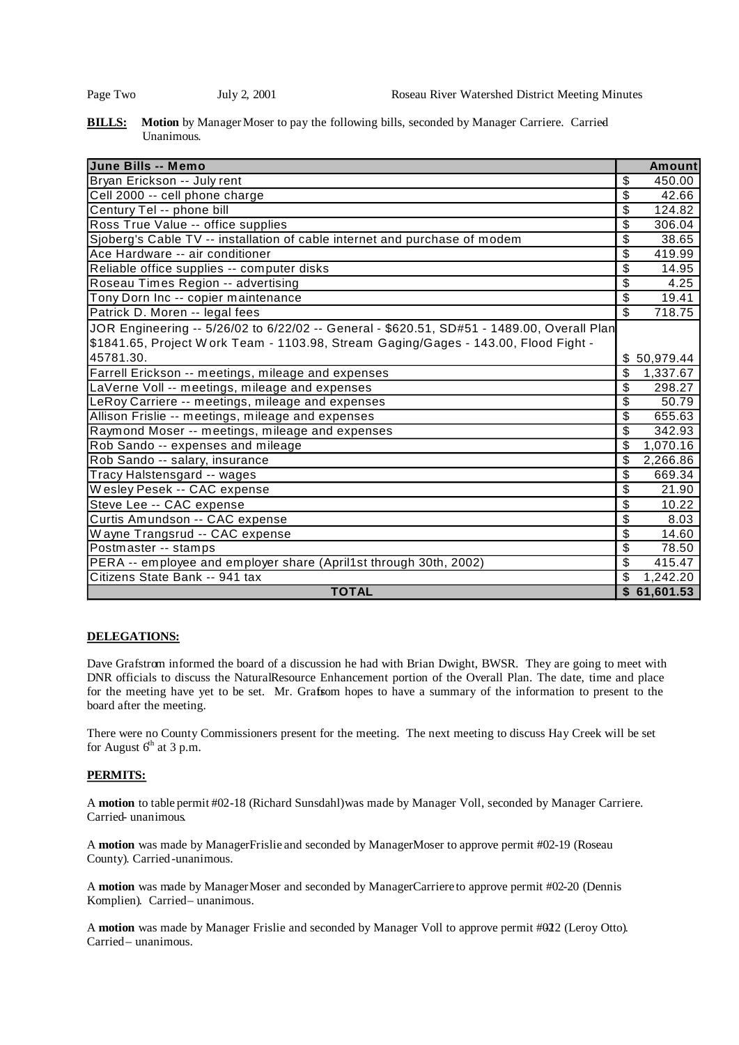**BILLS:** Motion by Manager Moser to pay the following bills, seconded by Manager Carriere. Carried Unanimous.

| June Bills -- Memo                                                                         | <b>Amount</b>                        |
|--------------------------------------------------------------------------------------------|--------------------------------------|
| Bryan Erickson -- July rent                                                                | \$<br>450.00                         |
| Cell 2000 -- cell phone charge                                                             | \$<br>42.66                          |
| Century Tel -- phone bill                                                                  | $\overline{\$}$<br>124.82            |
| Ross True Value -- office supplies                                                         | \$<br>306.04                         |
| Sjoberg's Cable TV -- installation of cable internet and purchase of modem                 | \$<br>38.65                          |
| Ace Hardware -- air conditioner                                                            | \$<br>419.99                         |
| Reliable office supplies -- computer disks                                                 | \$<br>14.95                          |
| Roseau Times Region -- advertising                                                         | \$<br>4.25                           |
| Tony Dorn Inc -- copier maintenance                                                        | \$<br>19.41                          |
| Patrick D. Moren -- legal fees                                                             | $\overline{\mathcal{S}}$<br>718.75   |
| JOR Engineering -- 5/26/02 to 6/22/02 -- General - \$620.51, SD#51 - 1489.00, Overall Plan |                                      |
| \$1841.65, Project Work Team - 1103.98, Stream Gaging/Gages - 143.00, Flood Fight -        |                                      |
| 45781.30.                                                                                  | \$50,979.44                          |
| Farrell Erickson -- meetings, mileage and expenses                                         | \$<br>1,337.67                       |
| LaVerne Voll -- meetings, mileage and expenses                                             | $\overline{\mathcal{S}}$<br>298.27   |
| LeRoy Carriere -- meetings, mileage and expenses                                           | \$<br>50.79                          |
| Allison Frislie -- meetings, mileage and expenses                                          | $\overline{\mathcal{S}}$<br>655.63   |
| Raymond Moser -- meetings, mileage and expenses                                            | $\overline{\mathcal{S}}$<br>342.93   |
| Rob Sando -- expenses and mileage                                                          | \$<br>1,070.16                       |
| Rob Sando -- salary, insurance                                                             | $\overline{\mathcal{S}}$<br>2,266.86 |
| Tracy Halstensgard -- wages                                                                | \$<br>669.34                         |
| Wesley Pesek -- CAC expense                                                                | \$<br>21.90                          |
| Steve Lee -- CAC expense                                                                   | $\boldsymbol{\mathsf{S}}$<br>10.22   |
| Curtis Amundson -- CAC expense                                                             | $\boldsymbol{\mathsf{S}}$<br>8.03    |
| Wayne Trangsrud -- CAC expense                                                             | \$<br>14.60                          |
| Postmaster -- stamps                                                                       | \$<br>78.50                          |
| PERA -- employee and employer share (April1st through 30th, 2002)                          | \$<br>415.47                         |
| Citizens State Bank -- 941 tax                                                             | \$<br>1,242.20                       |
| <b>TOTAL</b>                                                                               | \$61,601.53                          |

# **DELEGATIONS:**

Dave Grafstrom informed the board of a discussion he had with Brian Dwight, BWSR. They are going to meet with DNR officials to discuss the NaturalResource Enhancement portion of the Overall Plan. The date, time and place for the meeting have yet to be set. Mr. Grafsom hopes to have a summary of the information to present to the board after the meeting.

There were no County Commissioners present for the meeting. The next meeting to discuss Hay Creek will be set for August  $6<sup>th</sup>$  at 3 p.m.

# **PERMITS:**

A **motion** to table permit #02-18 (Richard Sunsdahl) was made by Manager Voll, seconded by Manager Carriere. Carried- unanimous.

A motion was made by ManagerFrislie and seconded by ManagerMoser to approve permit #02-19 (Roseau County). Carried-unanimous.

A **motion** was made by Manager Moser and seconded by Manager Carriere to approve permit #02-20 (Dennis Komplien). Carried-unanimous.

A motion was made by Manager Frislie and seconded by Manager Voll to approve permit #022 (Leroy Otto). Carried – unanimous.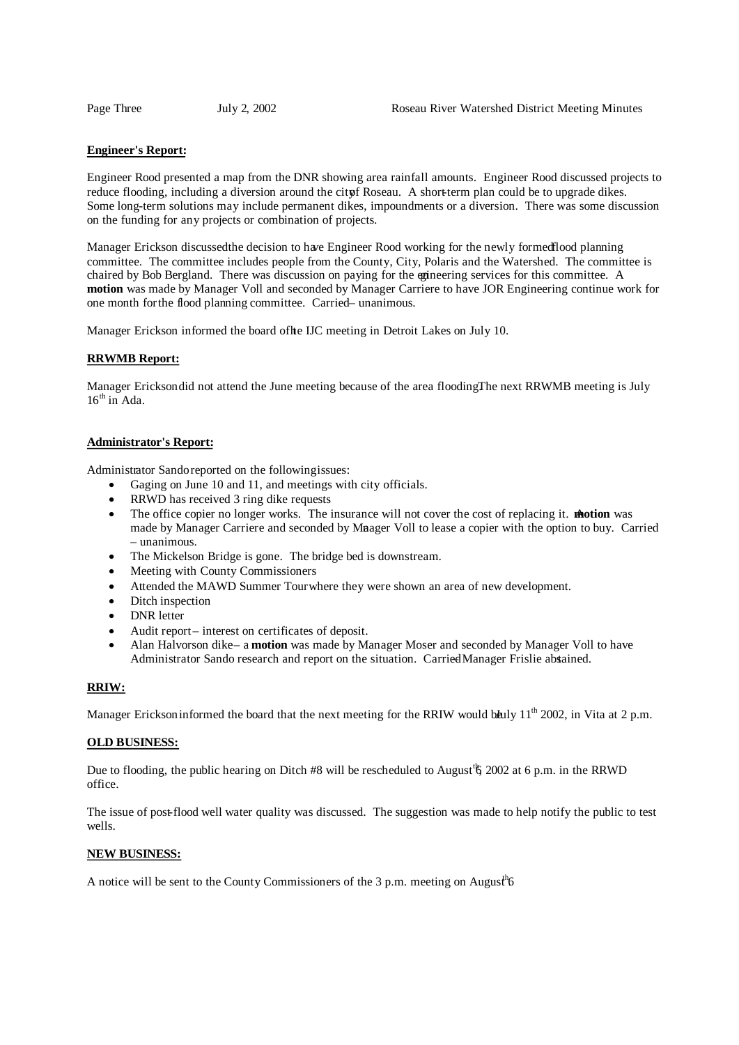#### **Engineer's Report:**

Engineer Rood presented a map from the DNR showing area rainfall amounts. Engineer Rood discussed projects to reduce flooding, including a diversion around the city Roseau. A short-term plan could be to upgrade dikes. Some long-term solutions may include permanent dikes, impoundments or a diversion. There was some discussion on the funding for any projects or combination of projects.

Manager Erickson discussedthe decision to have Engineer Rood working for the newly formedflood planning committee. The committee includes people from the County, City, Polaris and the Watershed. The committee is chaired by Bob Bergland. There was discussion on paying for the engineering services for this committee. A **motion** was made by Manager Voll and seconded by Manager Carriere to have JOR Engineering continue work for one month forthe flood planning committee. Carried– unanimous.

Manager Erickson informed the board of the IJC meeting in Detroit Lakes on July 10.

## **RRWMB Report:**

Manager Erickson did not attend the June meeting because of the area flooding.The next RRWMB meeting is July 16<sup>th</sup> in Ada.

#### **Administrator's Report:**

Administrator Sando reported on the followingissues:

- Gaging on June 10 and 11, and meetings with city officials.
- RRWD has received 3 ring dike requests
- The office copier no longer works. The insurance will not cover the cost of replacing it. **motion** was made by Manager Carriere and seconded by Mnager Voll to lease a copier with the option to buy. Carried – unanimous.
- The Mickelson Bridge is gone. The bridge bed is downstream.
- Meeting with County Commissioners
- Attended the MAWD Summer Tour where they were shown an area of new development.
- Ditch inspection
- DNR letter
- Audit report interest on certificates of deposit.
- Alan Halvorson dike– a **motion** was made by Manager Moser and seconded by Manager Voll to have Administrator Sando research and report on the situation. Carried Manager Frislie absained.

#### **RRIW:**

Manager Erickson informed the board that the next meeting for the RRIW would bully  $11^{th}$  2002, in Vita at 2 p.m.

#### **OLD BUSINESS:**

Due to flooding, the public hearing on Ditch #8 will be rescheduled to August<sup>t</sup> § 2002 at 6 p.m. in the RRWD office.

The issue of post-flood well water quality was discussed. The suggestion was made to help notify the public to test wells.

## **NEW BUSINESS:**

A notice will be sent to the County Commissioners of the 3 p.m. meeting on August<sup>h</sup>6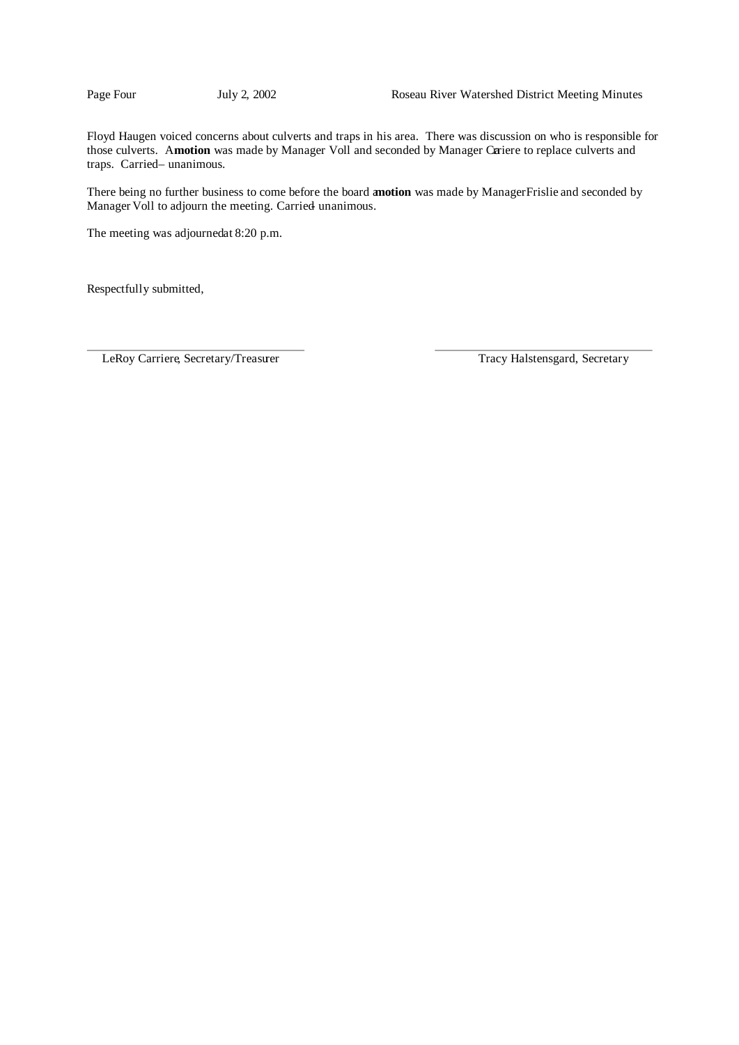Floyd Haugen voiced concerns about culverts and traps in his area. There was discussion on who is responsible for those culverts. Amotion was made by Manager Voll and seconded by Manager Cariere to replace culverts and traps. Carried– unanimous.

There being no further business to come before the board a**motion** was made by ManagerFrislie and seconded by Manager Voll to adjourn the meeting. Carried unanimous.

The meeting was adjourned at 8:20 p.m.

Respectfully submitted,

LeRoy Carriere, Secretary/Treasurer Tracy Halstensgard, Secretary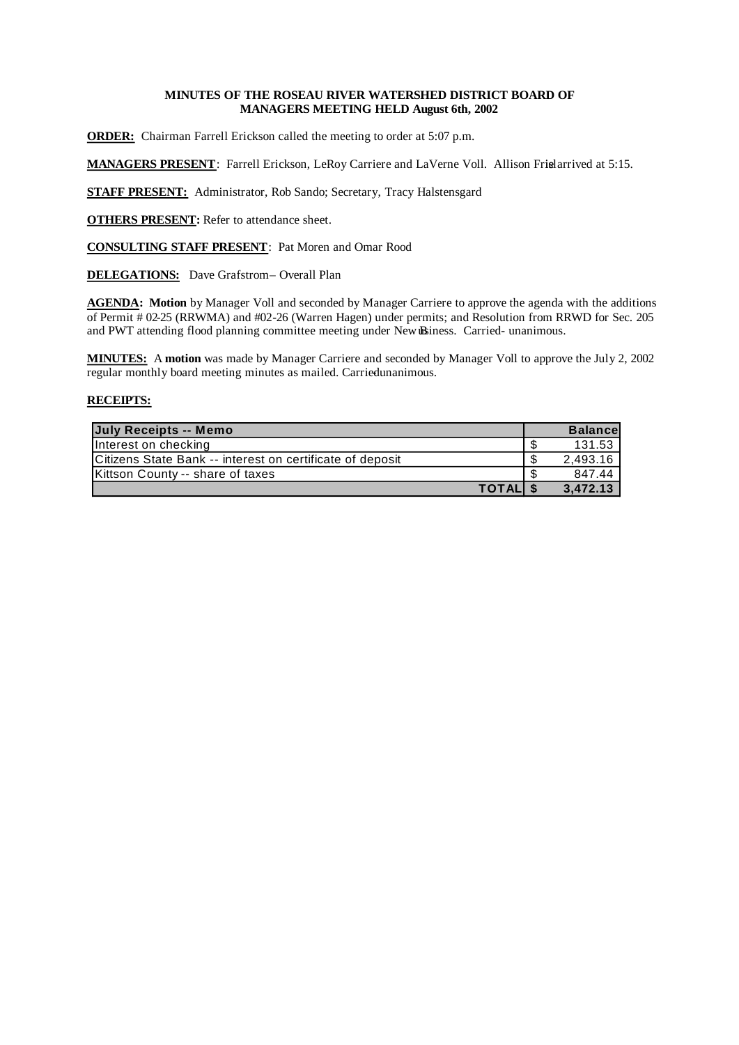# **MINUTES OF THE ROSEAU RIVER WATERSHED DISTRICT BOARD OF MANAGERS MEETING HELD August 6th, 2002**

**ORDER:** Chairman Farrell Erickson called the meeting to order at 5:07 p.m.

**MANAGERS PRESENT**: Farrell Erickson, LeRoy Carriere and LaVerne Voll. Allison Frisel arrived at 5:15.

**STAFF PRESENT:** Administrator, Rob Sando; Secretary, Tracy Halstensgard

**OTHERS PRESENT:** Refer to attendance sheet.

**CONSULTING STAFF PRESENT**: Pat Moren and Omar Rood

**DELEGATIONS:** Dave Grafstrom– Overall Plan

**AGENDA: Motion** by Manager Voll and seconded by Manager Carriere to approve the agenda with the additions of Permit # 02-25 (RRWMA) and #02-26 (Warren Hagen) under permits; and Resolution from RRWD for Sec. 205 and PWT attending flood planning committee meeting under New Biness. Carried- unanimous.

**MINUTES:** A **motion** was made by Manager Carriere and seconded by Manager Voll to approve the July 2, 2002 regular monthly board meeting minutes as mailed. Carriedunanimous.

| July Receipts -- Memo                                     |          | <b>Balancel</b> |
|-----------------------------------------------------------|----------|-----------------|
| Interest on checking                                      |          | 131.53          |
| Citizens State Bank -- interest on certificate of deposit |          | 2.493.16        |
| Kittson County -- share of taxes                          |          | 847.44          |
|                                                           | TOTAL \$ | 3.472.13        |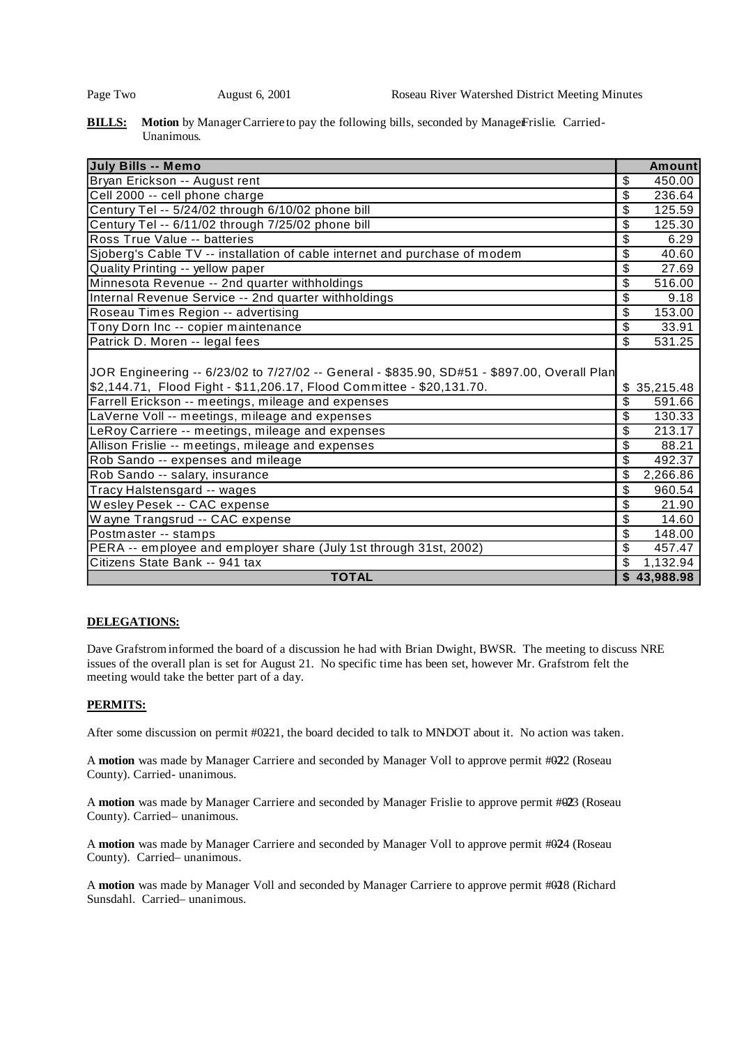## **BILLS:** Motion by Manager Carriere to pay the following bills, seconded by Manager Frislie. Carried-Unanimous.

| <b>July Bills -- Memo</b>                                                                   | <b>Amount</b>                       |
|---------------------------------------------------------------------------------------------|-------------------------------------|
| Bryan Erickson -- August rent                                                               | \$<br>450.00                        |
| Cell 2000 -- cell phone charge                                                              | \$<br>236.64                        |
| Century Tel -- 5/24/02 through 6/10/02 phone bill                                           | \$<br>125.59                        |
| Century Tel -- 6/11/02 through 7/25/02 phone bill                                           | \$<br>125.30                        |
| Ross True Value -- batteries                                                                | \$<br>6.29                          |
| Sjoberg's Cable TV -- installation of cable internet and purchase of modem                  | \$<br>40.60                         |
| Quality Printing -- yellow paper                                                            | \$<br>27.69                         |
| Minnesota Revenue -- 2nd quarter withholdings                                               | \$<br>516.00                        |
| Internal Revenue Service -- 2nd quarter withholdings                                        | \$<br>9.18                          |
| Roseau Times Region -- advertising                                                          | \$<br>153.00                        |
| Tony Dorn Inc -- copier maintenance                                                         | \$<br>33.91                         |
| Patrick D. Moren -- legal fees                                                              | \$<br>531.25                        |
| JOR Engineering -- 6/23/02 to 7/27/02 -- General - \$835.90, SD#51 - \$897.00, Overall Plan |                                     |
| \$2,144.71, Flood Fight - \$11,206.17, Flood Committee - \$20,131.70.                       | \$35,215.48                         |
| Farrell Erickson -- meetings, mileage and expenses                                          | \$<br>591.66                        |
| LaVerne Voll -- meetings, mileage and expenses                                              | \$<br>130.33                        |
| LeRoy Carriere -- meetings, mileage and expenses                                            | \$<br>213.17                        |
| Allison Frislie -- meetings, mileage and expenses                                           | \$<br>88.21                         |
| Rob Sando -- expenses and mileage                                                           | \$<br>492.37                        |
| Rob Sando -- salary, insurance                                                              | \$<br>2,266.86                      |
| Tracy Halstensgard -- wages                                                                 | \$<br>960.54                        |
| Wesley Pesek -- CAC expense                                                                 | \$<br>21.90                         |
| Wayne Trangsrud -- CAC expense                                                              | \$<br>14.60                         |
| Postmaster -- stamps                                                                        | $\boldsymbol{\mathsf{S}}$<br>148.00 |
| PERA -- employee and employer share (July 1st through 31st, 2002)                           | \$<br>457.47                        |
| Citizens State Bank -- 941 tax                                                              | \$<br>1,132.94                      |
| <b>TOTAL</b>                                                                                | 43,988.98                           |

# **DELEGATIONS:**

Dave Grafstrominformed the board of a discussion he had with Brian Dwight, BWSR. The meeting to discuss NRE issues of the overall plan is set for August 21. No specific time has been set, however Mr. Grafstrom felt the meeting would take the better part of a day.

# **PERMITS:**

After some discussion on permit #0221, the board decided to talk to MNDOT about it. No action was taken.

A motion was made by Manager Carriere and seconded by Manager Voll to approve permit #022 (Roseau County). Carried- unanimous.

A motion was made by Manager Carriere and seconded by Manager Frislie to approve permit #023 (Roseau County). Carried– unanimous.

A motion was made by Manager Carriere and seconded by Manager Voll to approve permit #024 (Roseau County). Carried-unanimous.

A motion was made by Manager Voll and seconded by Manager Carriere to approve permit #028 (Richard Sunsdahl. Carried- unanimous.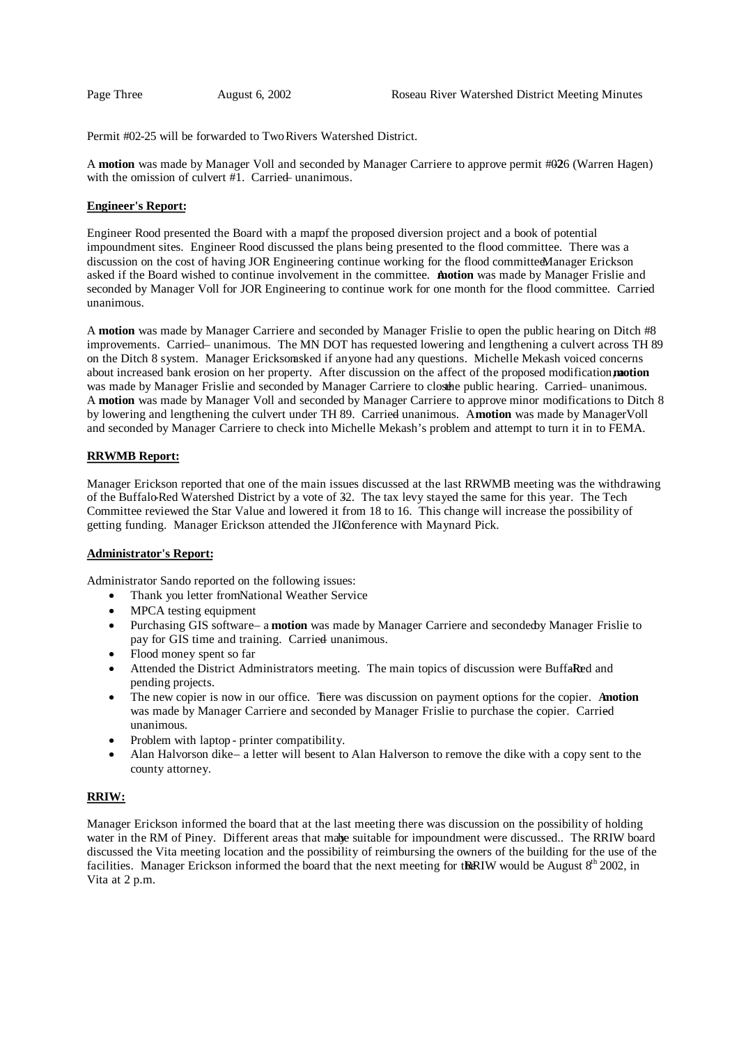Permit #02-25 will be forwarded to Two Rivers Watershed District.

A **motion** was made by Manager Voll and seconded by Manager Carriere to approve permit #026 (Warren Hagen) with the omission of culvert  $#1$ . Carried unanimous.

#### **Engineer's Report:**

Engineer Rood presented the Board with a map fthe proposed diversion project and a book of potential impoundment sites. Engineer Rood discussed the plans being presented to the flood committee. There was a discussion on the cost of having JOR Engineering continue working for the flood committee Manager Erickson asked if the Board wished to continue involvement in the committee. A **motion** was made by Manager Frislie and seconded by Manager Voll for JOR Engineering to continue work for one month for the flood committee. Carried unanimous.

A **motion** was made by Manager Carriere and seconded by Manager Frislie to open the public hearing on Ditch #8 improvements. Carried- unanimous. The MN DOT has requested lowering and lengthening a culvert across TH 89 on the Ditch 8 system. Manager Ericksom sked if anyone had any questions. Michelle Mekash voiced concerns about increased bank erosion on her property. After discussion on the affect of the proposed modification, **motion** a was made by Manager Frislie and seconded by Manager Carriere to closthe public hearing. Carried-unanimous. A **motion** was made by Manager Voll and seconded by Manager Carriere to approve minor modifications to Ditch 8 by lowering and lengthening the culvert under TH 89. Carried unanimous. Amotion was made by Manager Voll and seconded by Manager Carriere to check into Michelle Mekash's problem and attempt to turn it in to FEMA.

# **RRWMB Report:**

Manager Erickson reported that one of the main issues discussed at the last RRWMB meeting was the withdrawing of the Buffalo-Red Watershed District by a vote of 32. The tax levy stayed the same for this year. The Tech Committee reviewed the Star Value and lowered it from 18 to 16. This change will increase the possibility of getting funding. Manager Erickson attended the JIConference with Maynard Pick.

#### **Administrator's Report:**

Administrator Sando reported on the following issues:

- Thank you letter from National Weather Service
- MPCA testing equipment
- Purchasing GIS software a **motion** was made by Manager Carriere and secondedby Manager Frislie to pay for GIS time and training. Carried unanimous.
- Flood money spent so far
- Attended the District Administrators meeting. The main topics of discussion were BuffaRed and pending projects.
- The new copier is now in our office. There was discussion on payment options for the copier. Anotion was made by Manager Carriere and seconded by Manager Frislie to purchase the copier. Carried – unanimous.
- Problem with laptop printer compatibility.
- Alan Halvorson dike– a letter will be sent to Alan Halverson to remove the dike with a copy sent to the county attorney.

# **RRIW:**

Manager Erickson informed the board that at the last meeting there was discussion on the possibility of holding water in the RM of Piney. Different areas that mabe suitable for impoundment were discussed.. The RRIW board discussed the Vita meeting location and the possibility of reimbursing the owners of the building for the use of the facilities. Manager Erickson informed the board that the next meeting for the RIW would be August  $8<sup>th</sup> 2002$ , in Vita at 2 p.m.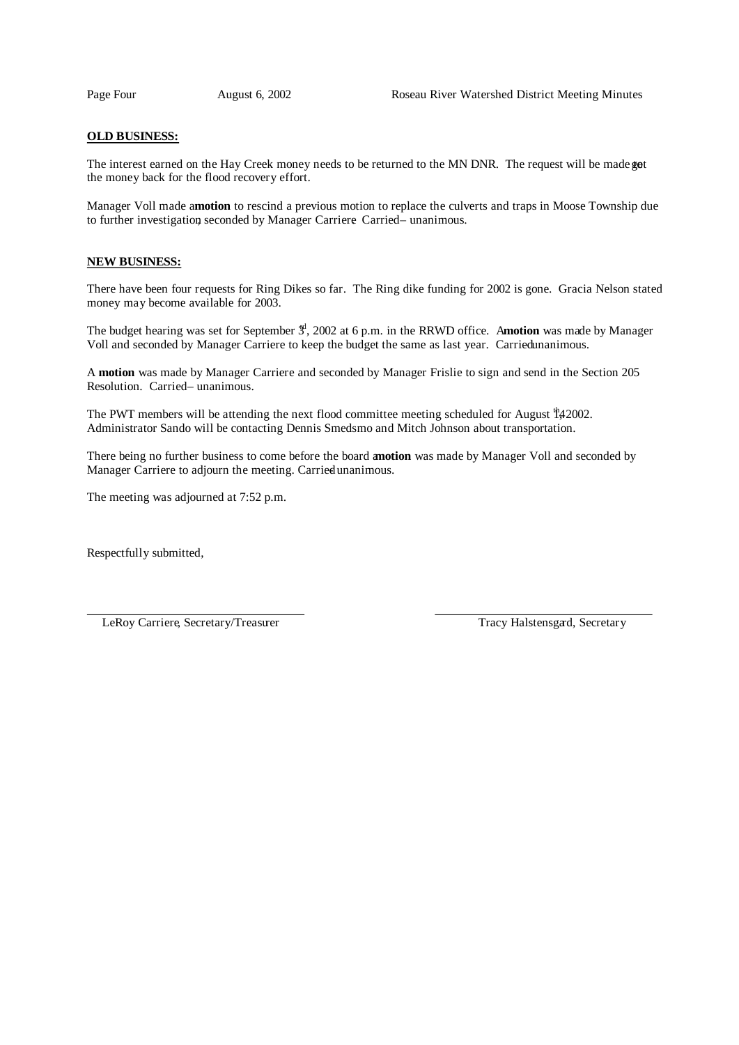#### **OLD BUSINESS:**

The interest earned on the Hay Creek money needs to be returned to the MN DNR. The request will be made got the money back for the flood recovery effort.

Manager Voll made a **motion** to rescind a previous motion to replace the culverts and traps in Moose Township due to further investigation seconded by Manager Carriere. Carried – unanimous.

## **NEW BUSINESS:**

There have been four requests for Ring Dikes so far. The Ring dike funding for 2002 is gone. Gracia Nelson stated money may become available for 2003.

The budget hearing was set for September  $\frac{4}{3}$ , 2002 at 6 p.m. in the RRWD office. Amotion was made by Manager Voll and seconded by Manager Carriere to keep the budget the same as last year. Carried unanimous.

A **motion** was made by Manager Carriere and seconded by Manager Frislie to sign and send in the Section 205 Resolution. Carried-unanimous.

The PWT members will be attending the next flood committee meeting scheduled for August  $\frac{th}{4}$  2002. Administrator Sando will be contacting Dennis Smedsmo and Mitch Johnson about transportation.

There being no further business to come before the board a**motion** was made by Manager Voll and seconded by Manager Carriere to adjourn the meeting. Carried unanimous.

The meeting was adjourned at 7:52 p.m.

Respectfully submitted,

LeRoy Carriere, Secretary/Treasurer Tracy Halstensgard, Secretary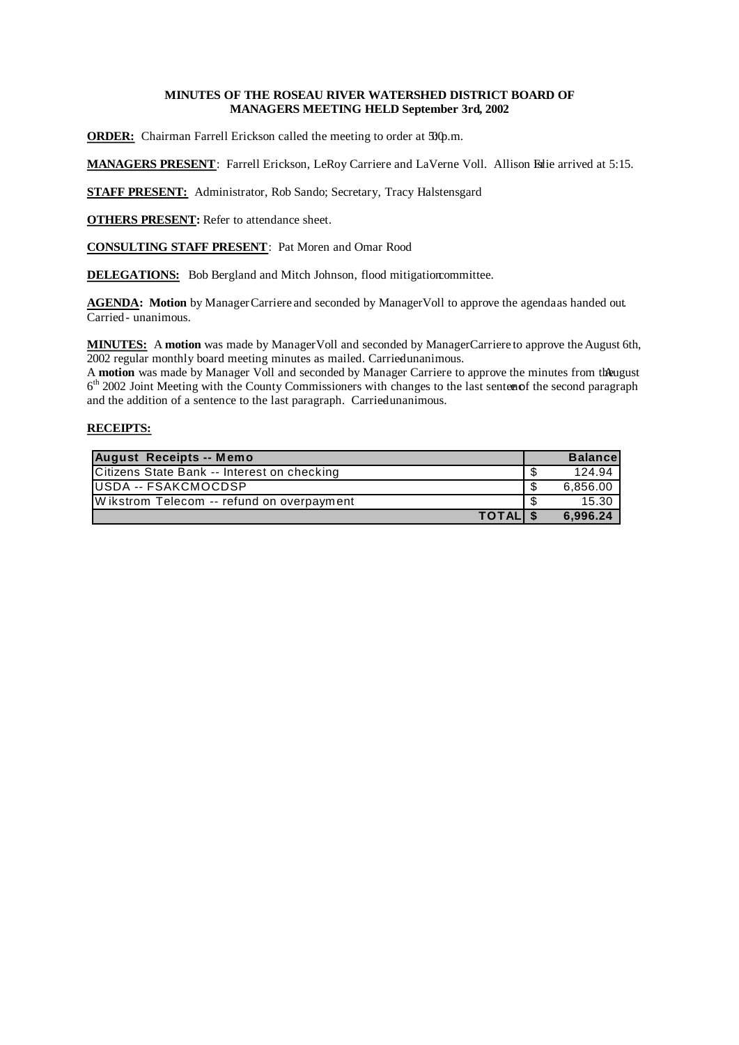# **MINUTES OF THE ROSEAU RIVER WATERSHED DISTRICT BOARD OF MANAGERS MEETING HELD September 3rd, 2002**

**ORDER:** Chairman Farrell Erickson called the meeting to order at  $\mathfrak{D}\varphi$ .m.

**MANAGERS PRESENT**: Farrell Erickson, LeRoy Carriere and LaVerne Voll. Allison Filie arrived at 5:15.

**STAFF PRESENT:** Administrator, Rob Sando; Secretary, Tracy Halstensgard

**OTHERS PRESENT:** Refer to attendance sheet.

**CONSULTING STAFF PRESENT**: Pat Moren and Omar Rood

**DELEGATIONS:** Bob Bergland and Mitch Johnson, flood mitigationcommittee.

**AGENDA: Motion** by Manager Carriere and seconded by Manager Voll to approve the agendaas handed out. Carried - unanimous.

**MINUTES:** A **motion** was made by Manager Voll and seconded by Manager Carriere to approve the August 6th, 2002 regular monthly board meeting minutes as mailed. Carried unanimous.

A motion was made by Manager Voll and seconded by Manager Carriere to approve the minutes from the ugust 6<sup>th</sup> 2002 Joint Meeting with the County Commissioners with changes to the last sentenof the second paragraph and the addition of a sentence to the last paragraph. Carried unanimous.

| <b>August Receipts -- Memo</b>              |    | <b>Balance</b> |
|---------------------------------------------|----|----------------|
| Citizens State Bank -- Interest on checking |    | 124.94         |
| IUSDA -- FSAKCMOCDSP                        | \$ | 6.856.00       |
| Wikstrom Telecom -- refund on overpayment   |    | 15.30          |
| TOTAL \$                                    |    | 6.996.24       |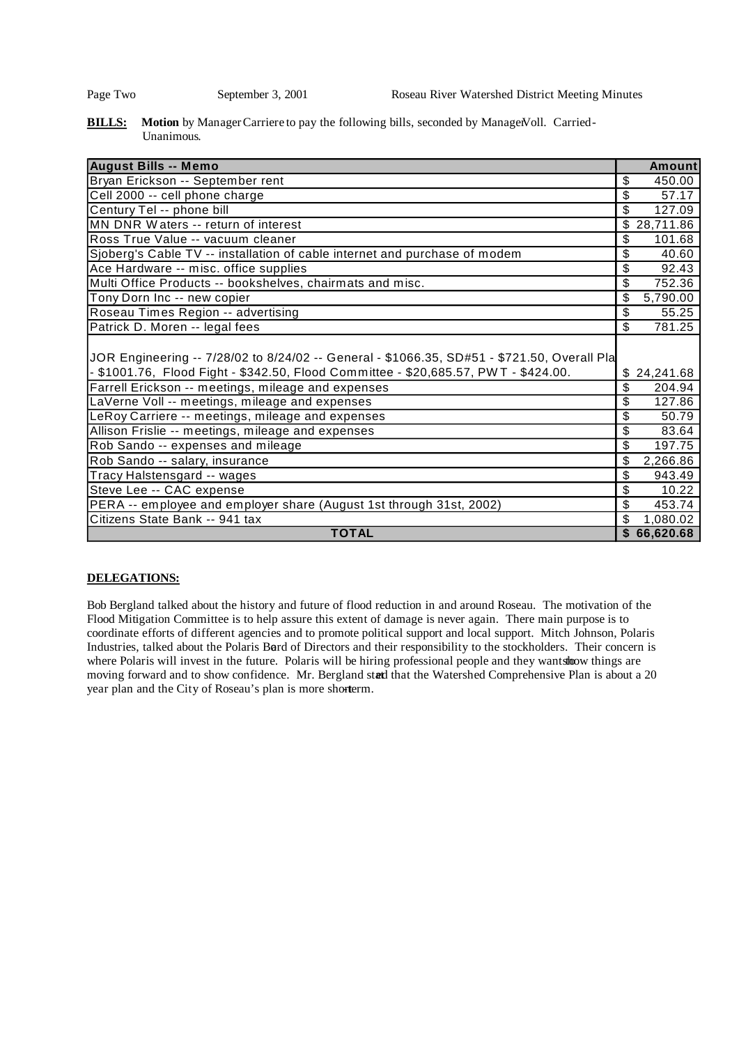## **BILLS:** Motion by Manager Carriere to pay the following bills, seconded by ManagerVoll. Carried-Unanimous.

| <b>August Bills -- Memo</b>                                                                 | <b>Amount</b>   |
|---------------------------------------------------------------------------------------------|-----------------|
| Bryan Erickson -- September rent                                                            | \$<br>450.00    |
| Cell 2000 -- cell phone charge                                                              | \$<br>57.17     |
| Century Tel -- phone bill                                                                   | \$<br>127.09    |
| MN DNR Waters -- return of interest                                                         | \$<br>28,711.86 |
| Ross True Value -- vacuum cleaner                                                           | \$<br>101.68    |
| Sjoberg's Cable TV -- installation of cable internet and purchase of modem                  | 40.60<br>\$     |
| Ace Hardware -- misc. office supplies                                                       | \$<br>92.43     |
| Multi Office Products -- bookshelves, chairmats and misc.                                   | \$<br>752.36    |
| Tony Dorn Inc -- new copier                                                                 | 5,790.00<br>\$  |
| Roseau Times Region -- advertising                                                          | \$<br>55.25     |
| Patrick D. Moren -- legal fees                                                              | \$<br>781.25    |
| JOR Engineering -- 7/28/02 to 8/24/02 -- General - \$1066.35, SD#51 - \$721.50, Overall Pla |                 |
| - \$1001.76, Flood Fight - \$342.50, Flood Committee - \$20,685.57, PWT - \$424.00.         | 24,241.68       |
| Farrell Erickson -- meetings, mileage and expenses                                          | 204.94<br>\$    |
| LaVerne Voll -- meetings, mileage and expenses                                              | \$<br>127.86    |
| LeRoy Carriere -- meetings, mileage and expenses                                            | \$<br>50.79     |
| Allison Frislie -- meetings, mileage and expenses                                           | \$<br>83.64     |
| Rob Sando -- expenses and mileage                                                           | \$<br>197.75    |
| Rob Sando -- salary, insurance                                                              | \$<br>2,266.86  |
| Tracy Halstensgard -- wages                                                                 | \$<br>943.49    |
| Steve Lee -- CAC expense                                                                    | \$<br>10.22     |
| PERA -- employee and employer share (August 1st through 31st, 2002)                         | \$<br>453.74    |
| Citizens State Bank -- 941 tax                                                              | \$<br>1,080.02  |
| <b>TOTAL</b>                                                                                | \$<br>66,620.68 |

# **DELEGATIONS:**

Bob Bergland talked about the history and future of flood reduction in and around Roseau. The motivation of the Flood Mitigation Committee is to help assure this extent of damage is never again. There main purpose is to coordinate efforts of different agencies and to promote political support and local support. Mitch Johnson, Polaris Industries, talked about the Polaris Bard of Directors and their responsibility to the stockholders. Their concern is where Polaris will invest in the future. Polaris will be hiring professional people and they wantshow things are moving forward and to show confidence. Mr. Bergland staetd that the Watershed Comprehensive Plan is about a 20 year plan and the City of Roseau's plan is more shorterm.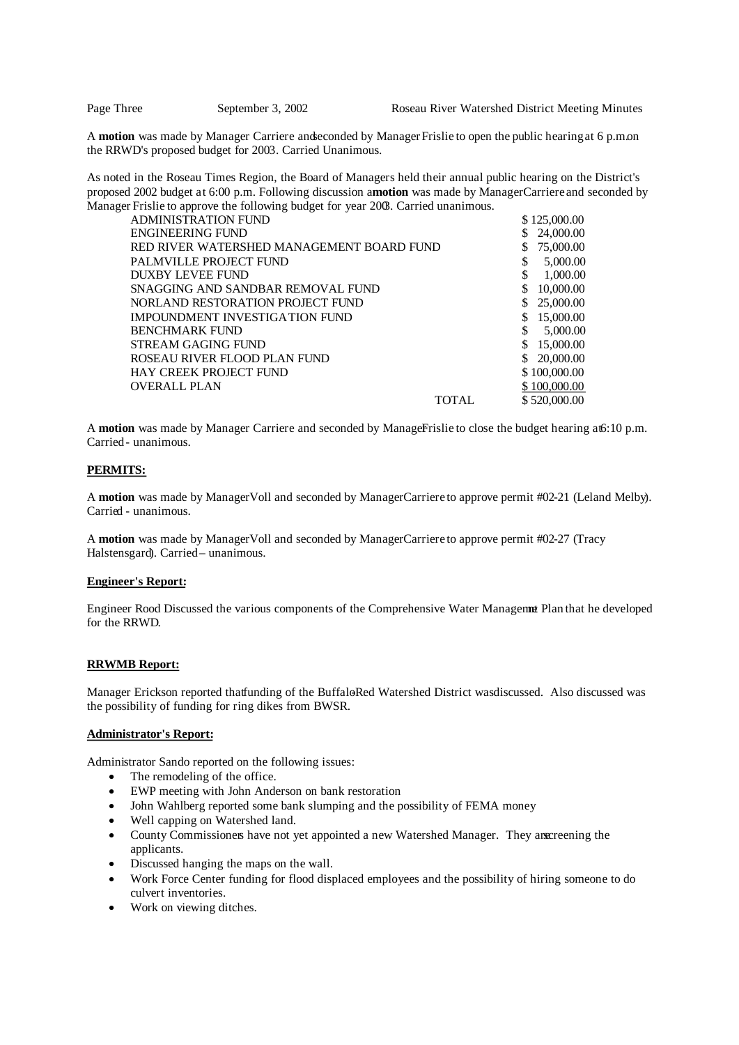A motion was made by Manager Carriere and seconded by Manager Frislie to open the public hearing at 6 p.m.on the RRWD's proposed budget for 2003. Carried Unanimous.

As noted in the Roseau Times Region, the Board of Managers held their annual public hearing on the District's proposed 2002 budget at 6:00 p.m. Following discussion a**motion** was made by Manager Carriere and seconded by Manager Frislie to approve the following budget for year 2003. Carried unanimous.

| <b>ADMINISTRATION FUND</b>                | \$125,000.00    |
|-------------------------------------------|-----------------|
| <b>ENGINEERING FUND</b>                   | 24,000.00<br>S  |
| RED RIVER WATERSHED MANAGEMENT BOARD FUND | 75,000.00<br>S  |
| PALMVILLE PROJECT FUND                    | \$<br>5,000.00  |
| DUXBY LEVEE FUND                          | \$<br>1,000.00  |
| SNAGGING AND SANDBAR REMOVAL FUND         | \$<br>10,000.00 |
| NORLAND RESTORATION PROJECT FUND          | 25,000.00<br>\$ |
| IMPOUNDMENT INVESTIGATION FUND            | 15,000.00<br>\$ |
| <b>BENCHMARK FUND</b>                     | \$<br>5,000.00  |
| STREAM GAGING FUND                        | \$<br>15,000.00 |
| ROSEAU RIVER FLOOD PLAN FUND              | 20,000.00<br>\$ |
| <b>HAY CREEK PROJECT FUND</b>             | \$100,000.00    |
| <b>OVERALL PLAN</b>                       | \$100,000.00    |
| <b>TOTAL</b>                              | \$520,000.00    |

A **motion** was made by Manager Carriere and seconded by ManagerFislie to close the budget hearing at 6:10 p.m. Carried - unanimous.

## **PERMITS:**

A **motion** was made by Manager Voll and seconded by Manager Carriere to approve permit #02-21 (Leland Melby). Carried - unanimous.

A **motion** was made by Manager Voll and seconded by Manager Carriere to approve permit #02-27 (Tracy Halstensgard). Carried– unanimous.

#### **Engineer's Report:**

Engineer Rood Discussed the various components of the Comprehensive Water Managemat Plan that he developed for the RRWD.

#### **RRWMB Report:**

Manager Erickson reported thatfunding of the BuffaloRed Watershed District was discussed. Also discussed was the possibility of funding for ring dikes from BWSR.

#### **Administrator's Report:**

Administrator Sando reported on the following issues:

- The remodeling of the office.
- EWP meeting with John Anderson on bank restoration
- John Wahlberg reported some bank slumping and the possibility of FEMA money
- Well capping on Watershed land.
- County Commissioners have not yet appointed a new Watershed Manager. They are creening the applicants.
- Discussed hanging the maps on the wall.
- Work Force Center funding for flood displaced employees and the possibility of hiring someone to do culvert inventories.
- Work on viewing ditches.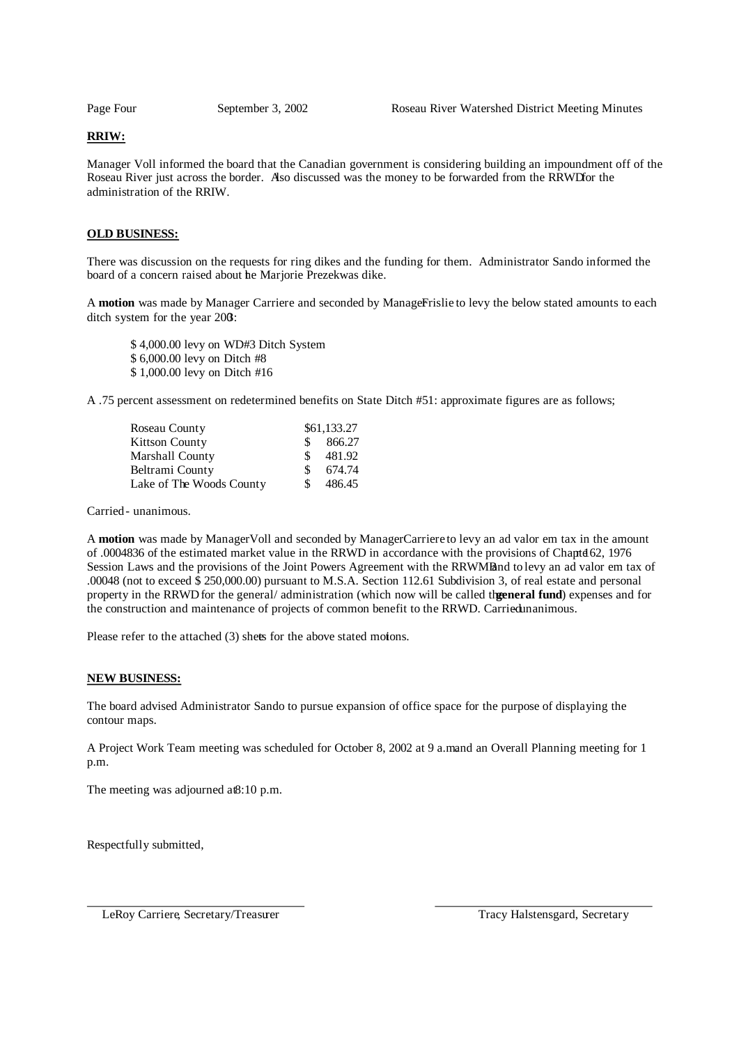### **RRIW:**

Manager Voll informed the board that the Canadian government is considering building an impoundment off of the Roseau River just across the border. Also discussed was the money to be forwarded from the RRWDfor the administration of the RRIW.

## **OLD BUSINESS:**

There was discussion on the requests for ring dikes and the funding for them. Administrator Sando informed the board of a concern raised about he Marjorie Prezekwas dike.

A motion was made by Manager Carriere and seconded by ManageFrislie to levy the below stated amounts to each ditch system for the year 2003:

\$ 4,000.00 levy on WD#3 Ditch System \$ 6,000.00 levy on Ditch #8 \$ 1,000.00 levy on Ditch #16

A .75 percent assessment on redetermined benefits on State Ditch #51: approximate figures are as follows;

| Roseau County            |     | \$61,133.27 |
|--------------------------|-----|-------------|
| <b>Kittson County</b>    | S.  | 866.27      |
| Marshall County          | S.  | 481.92      |
| Beltrami County          | \$. | 674.74      |
| Lake of The Woods County | S   | 486.45      |

Carried - unanimous.

A **motion** was made by Manager Voll and seconded by Manager Carriere to levy an ad valor em tax in the amount of .0004836 of the estimated market value in the RRWD in accordance with the provisions of Chapter 162, 1976 Session Laws and the provisions of the Joint Powers Agreement with the RRWMBand to levy an ad valor em tax of .00048 (not to exceed \$ 250,000.00) pursuant to M.S.A. Section 112.61 Subdivision 3, of real estate and personal property in the RRWD for the general/ administration (which now will be called the eneral fund) expenses and for the construction and maintenance of projects of common benefit to the RRWD. Carried unanimous.

Please refer to the attached (3) shets for the above stated motons.

#### **NEW BUSINESS:**

The board advised Administrator Sando to pursue expansion of office space for the purpose of displaying the contour maps.

A Project Work Team meeting was scheduled for October 8, 2002 at 9 a.mand an Overall Planning meeting for 1 p.m.

The meeting was adjourned at 8:10 p.m.

Respectfully submitted,

LeRoy Carriere, Secretary/Treasurer Tracy Halstensgard, Secretary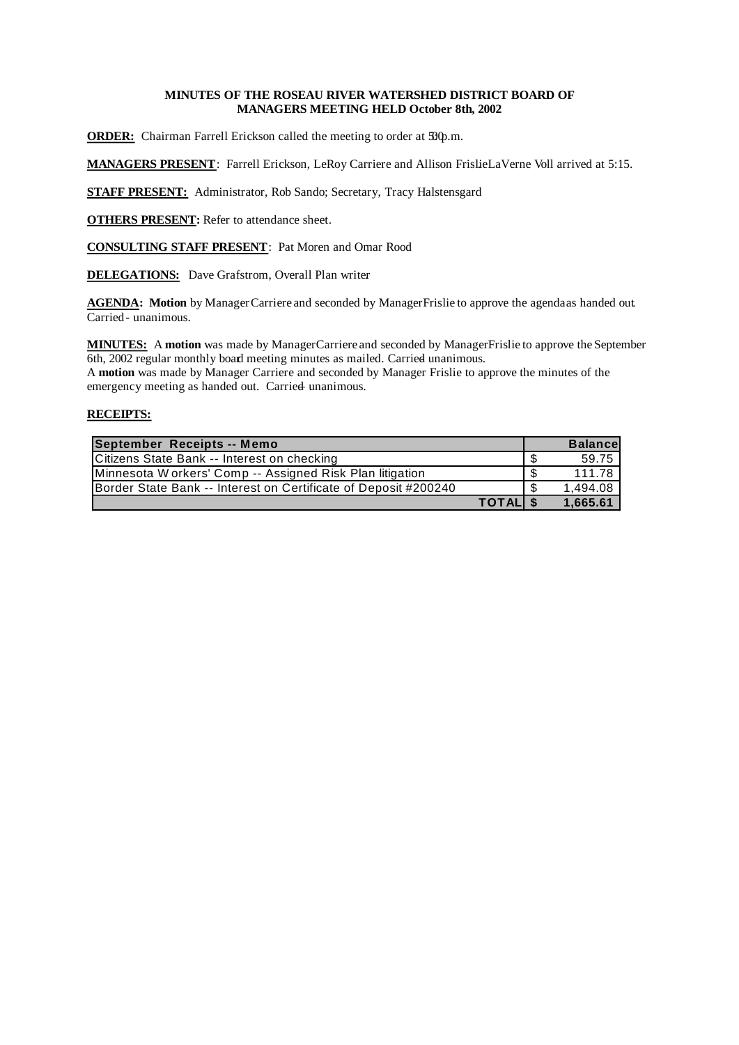# **MINUTES OF THE ROSEAU RIVER WATERSHED DISTRICT BOARD OF MANAGERS MEETING HELD October 8th, 2002**

**ORDER:** Chairman Farrell Erickson called the meeting to order at  $\mathfrak{D}\varphi$ .m.

**MANAGERS PRESENT**: Farrell Erickson, LeRoy Carriere and Allison FrislieLaVerne Voll arrived at 5:15.

**STAFF PRESENT:** Administrator, Rob Sando; Secretary, Tracy Halstensgard

**OTHERS PRESENT:** Refer to attendance sheet.

**CONSULTING STAFF PRESENT**: Pat Moren and Omar Rood

**DELEGATIONS:** Dave Grafstrom, Overall Plan writer

**AGENDA: Motion** by Manager Carriere and seconded by ManagerFrislie to approve the agendaas handed out. Carried - unanimous.

**MINUTES:** A motion was made by Manager Carriere and seconded by Manager Frislie to approve the September 6th, 2002 regular monthly board meeting minutes as mailed. Carried unanimous.

A **motion** was made by Manager Carriere and seconded by Manager Frislie to approve the minutes of the emergency meeting as handed out. Carried unanimous.

| September Receipts -- Memo                                      | <b>Balancel</b> |
|-----------------------------------------------------------------|-----------------|
| Citizens State Bank -- Interest on checking                     | 59.75           |
| Minnesota Workers' Comp -- Assigned Risk Plan litigation        | 111.78 L        |
| Border State Bank -- Interest on Certificate of Deposit #200240 | 1.494.08        |
| TOTAL \$                                                        | 1.665.61        |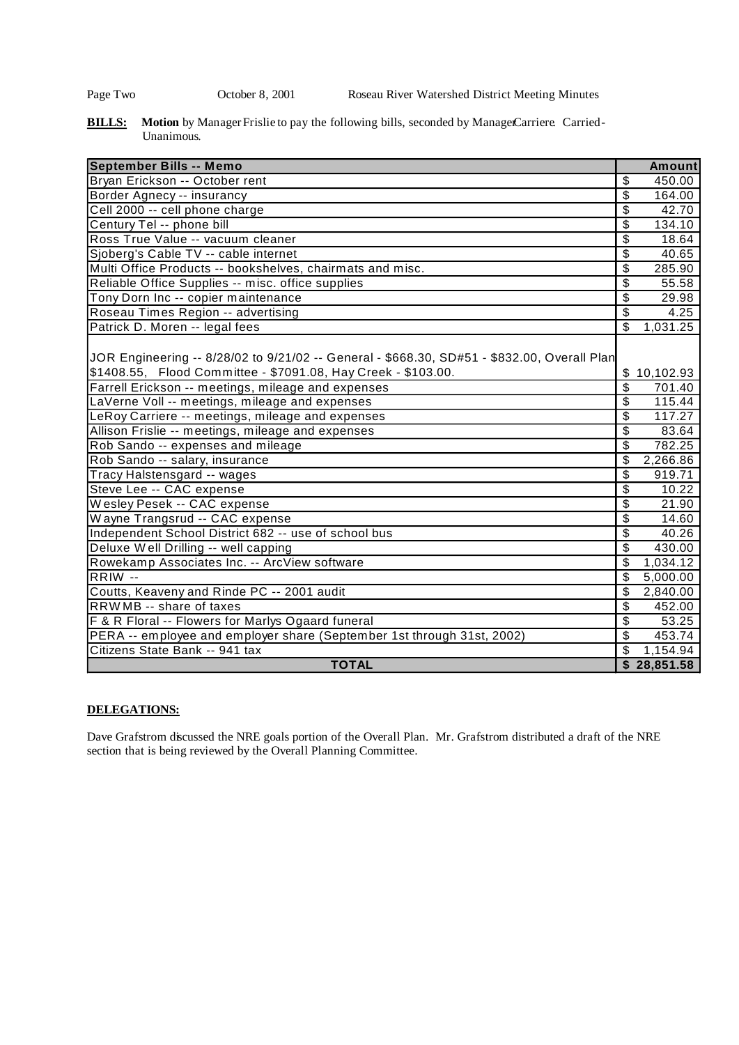Page Two Corober 8, 2001 Roseau River Watershed District Meeting Minutes

**BILLS:** Motion by Manager Frislie to pay the following bills, seconded by Manage Carriere. Carried-Unanimous.

| <b>September Bills -- Memo</b>                                                              | <b>Amount</b>                       |
|---------------------------------------------------------------------------------------------|-------------------------------------|
| Bryan Erickson -- October rent                                                              | 450.00<br>\$                        |
| Border Agnecy -- insurancy                                                                  | \$<br>164.00                        |
| Cell 2000 -- cell phone charge                                                              | \$<br>42.70                         |
| Century Tel -- phone bill                                                                   | \$<br>134.10                        |
| Ross True Value -- vacuum cleaner                                                           | \$<br>18.64                         |
| Sjoberg's Cable TV -- cable internet                                                        | \$<br>40.65                         |
| Multi Office Products -- bookshelves, chairmats and misc.                                   | \$<br>285.90                        |
| Reliable Office Supplies -- misc. office supplies                                           | \$<br>55.58                         |
| Tony Dorn Inc -- copier maintenance                                                         | \$<br>29.98                         |
| Roseau Times Region -- advertising                                                          | \$<br>4.25                          |
| Patrick D. Moren -- legal fees                                                              | $\overline{\mathbb{S}}$<br>1,031.25 |
|                                                                                             |                                     |
| JOR Engineering -- 8/28/02 to 9/21/02 -- General - \$668.30, SD#51 - \$832.00, Overall Plan |                                     |
| \$1408.55, Flood Committee - \$7091.08, Hay Creek - \$103.00.                               | \$<br>10,102.93                     |
| Farrell Erickson -- meetings, mileage and expenses                                          | \$<br>701.40                        |
| LaVerne Voll -- meetings, mileage and expenses                                              | \$<br>115.44                        |
| LeRoy Carriere -- meetings, mileage and expenses                                            | \$<br>117.27                        |
| Allison Frislie -- meetings, mileage and expenses                                           | \$<br>83.64                         |
| Rob Sando -- expenses and mileage                                                           | $\overline{\mathbf{S}}$<br>782.25   |
| Rob Sando -- salary, insurance                                                              | \$<br>2,266.86                      |
| Tracy Halstensgard -- wages                                                                 | \$<br>919.71                        |
| Steve Lee -- CAC expense                                                                    | \$<br>10.22                         |
| Wesley Pesek -- CAC expense                                                                 | \$<br>21.90                         |
| Wayne Trangsrud -- CAC expense                                                              | \$<br>14.60                         |
| Independent School District 682 -- use of school bus                                        | \$<br>40.26                         |
| Deluxe Well Drilling -- well capping                                                        | $\overline{\mathbf{S}}$<br>430.00   |
| Rowekamp Associates Inc. -- ArcView software                                                | 1,034.12<br>\$                      |
| RRIW --                                                                                     | $\overline{\mathbf{S}}$<br>5,000.00 |
| Coutts, Keaveny and Rinde PC -- 2001 audit                                                  | \$<br>2,840.00                      |
| RRWMB -- share of taxes                                                                     | \$<br>452.00                        |
| F & R Floral -- Flowers for Marlys Ogaard funeral                                           | \$<br>53.25                         |
| PERA -- employee and employer share (September 1st through 31st, 2002)                      | \$<br>453.74                        |
| Citizens State Bank -- 941 tax                                                              | \$<br>1,154.94                      |
| <b>TOTAL</b>                                                                                | \$28,851.58                         |

# **DELEGATIONS:**

Dave Grafstrom discussed the NRE goals portion of the Overall Plan. Mr. Grafstrom distributed a draft of the NRE section that is being reviewed by the Overall Planning Committee.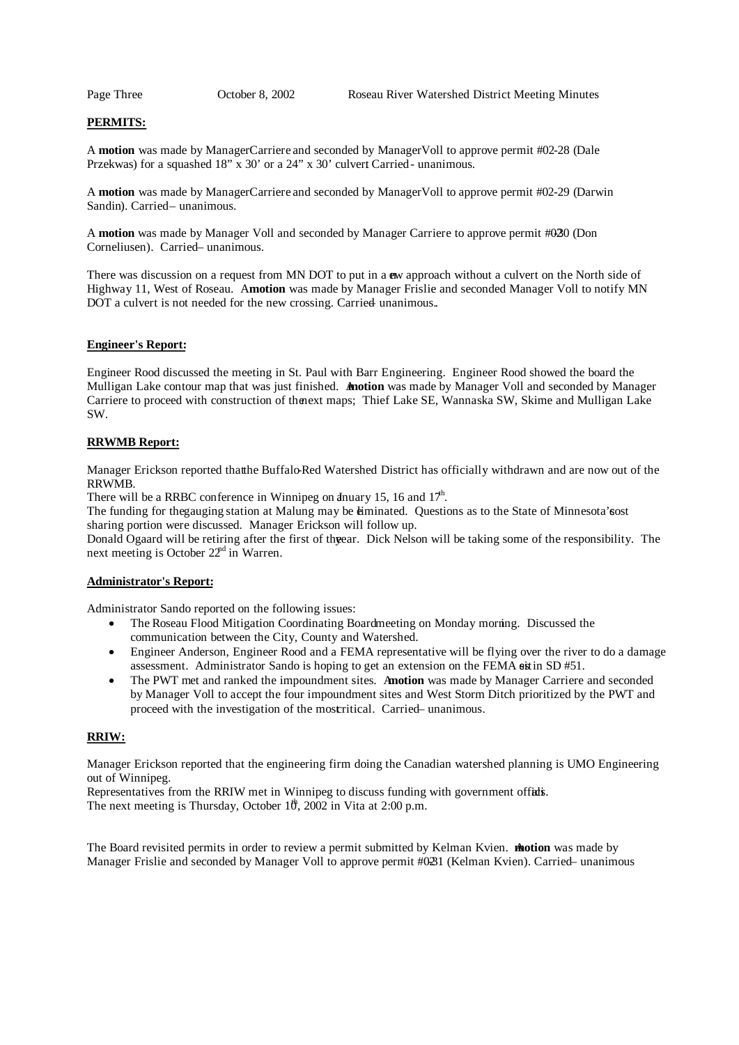# **PERMITS:**

A **motion** was made by Manager Carriere and seconded by Manager Voll to approve permit #02-28 (Dale Przekwas) for a squashed  $18"$  x  $30'$  or a  $24"$  x  $30'$  culvert Carried- unanimous.

A **motion** was made by Manager Carriere and seconded by Manager Voll to approve permit #02-29 (Darwin Sandin). Carried-unanimous.

A **motion** was made by Manager Voll and seconded by Manager Carriere to approve permit #020 (Don Corneliusen). Carried – unanimous.

There was discussion on a request from MN DOT to put in a **e**w approach without a culvert on the North side of Highway 11, West of Roseau. A motion was made by Manager Frislie and seconded Manager Voll to notify MN DOT a culvert is not needed for the new crossing. Carried unanimous..

# **Engineer's Report:**

Engineer Rood discussed the meeting in St. Paul with Barr Engineering. Engineer Rood showed the board the Mulligan Lake contour map that was just finished. **Anotion** was made by Manager Voll and seconded by Manager Carriere to proceed with construction of thenext maps; Thief Lake SE, Wannaska SW, Skime and Mulligan Lake SW.

#### **RRWMB Report:**

Manager Erickson reported thatthe Buffalo-Red Watershed District has officially withdrawn and are now out of the RRWMB.

There will be a RRBC conference in Winnipeg on anuary 15, 16 and  $17<sup>h</sup>$ .

The funding for the gauging station at Malung may be eliminated. Questions as to the State of Minnesota's ost sharing portion were discussed. Manager Erickson will follow up.

Donald Ogaard will be retiring after the first of three ar. Dick Nelson will be taking some of the responsibility. The next meeting is October 22<sup>nd</sup> in Warren.

#### **Administrator's Report:**

Administrator Sando reported on the following issues:

- The Roseau Flood Mitigation Coordinating Boardmeeting on Monday morning. Discussed the communication between the City, County and Watershed.
- Engineer Anderson, Engineer Rood and a FEMA representative will be flying over the river to do a damage assessment. Administrator Sando is hoping to get an extension on the FEMA seistin SD #51.
- The PWT met and ranked the impoundment sites. A**motion** was made by Manager Carriere and seconded by Manager Voll to accept the four impoundment sites and West Storm Ditch prioritized by the PWT and proceed with the investigation of the mostritical. Carried – unanimous.

#### **RRIW:**

Manager Erickson reported that the engineering firm doing the Canadian watershed planning is UMO Engineering out of Winnipeg.

Representatives from the RRIW met in Winnipeg to discuss funding with government offidis. The next meeting is Thursday, October  $10^{\circ}$ , 2002 in Vita at 2:00 p.m.

The Board revisited permits in order to review a permit submitted by Kelman Kvien. **Motion** was made by Manager Frislie and seconded by Manager Voll to approve permit #0231 (Kelman Kvien). Carried – unanimous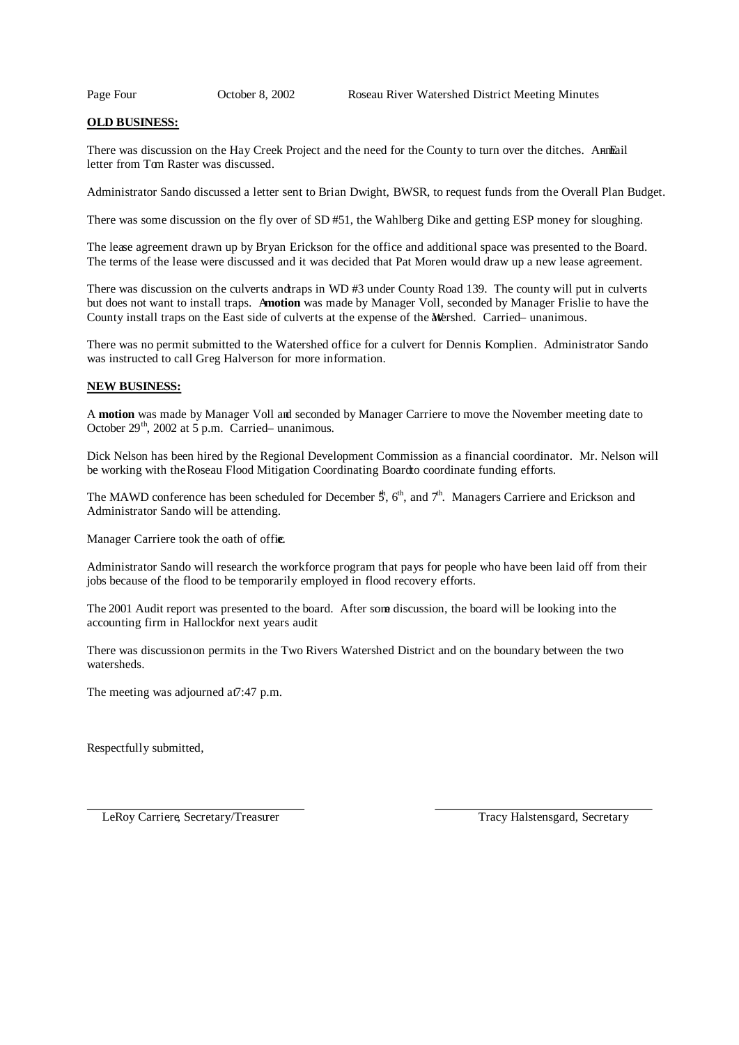## **OLD BUSINESS:**

There was discussion on the Hay Creek Project and the need for the County to turn over the ditches. Anneail letter from Tom Raster was discussed.

Administrator Sando discussed a letter sent to Brian Dwight, BWSR, to request funds from the Overall Plan Budget.

There was some discussion on the fly over of SD #51, the Wahlberg Dike and getting ESP money for sloughing.

The lease agreement drawn up by Bryan Erickson for the office and additional space was presented to the Board. The terms of the lease were discussed and it was decided that Pat Moren would draw up a new lease agreement.

There was discussion on the culverts andtraps in WD #3 under County Road 139. The county will put in culverts but does not want to install traps. A **motion** was made by Manager Voll, seconded by Manager Frislie to have the County install traps on the East side of culverts at the expense of the Mershed. Carried-unanimous.

There was no permit submitted to the Watershed office for a culvert for Dennis Komplien. Administrator Sando was instructed to call Greg Halverson for more information.

## **NEW BUSINESS:**

A **motion** was made by Manager Voll and seconded by Manager Carriere to move the November meeting date to October  $29<sup>th</sup>$ , 2002 at 5 p.m. Carried- unanimous.

Dick Nelson has been hired by the Regional Development Commission as a financial coordinator. Mr. Nelson will be working with the Roseau Flood Mitigation Coordinating Board to coordinate funding efforts.

The MAWD conference has been scheduled for December  $\ddot{S}$ ,  $6<sup>th</sup>$ , and  $7<sup>th</sup>$ . Managers Carriere and Erickson and Administrator Sando will be attending.

Manager Carriere took the oath of office.

Administrator Sando will research the workforce program that pays for people who have been laid off from their jobs because of the flood to be temporarily employed in flood recovery efforts.

The 2001 Audit report was presented to the board. After some discussion, the board will be looking into the accounting firm in Hallock for next years audit

There was discussion on permits in the Two Rivers Watershed District and on the boundary between the two watersheds.

The meeting was adjourned at 7:47 p.m.

Respectfully submitted,

LeRoy Carriere, Secretary/Treasurer Tracy Halstensgard, Secretary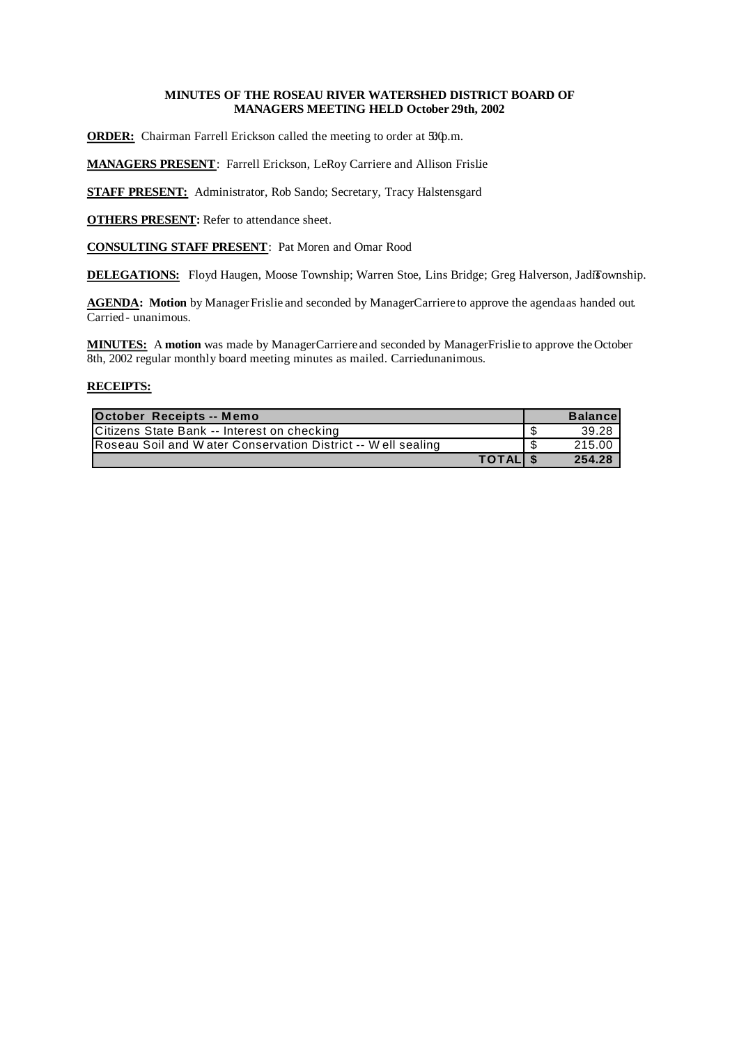# **MINUTES OF THE ROSEAU RIVER WATERSHED DISTRICT BOARD OF MANAGERS MEETING HELD October 29th, 2002**

**ORDER:** Chairman Farrell Erickson called the meeting to order at  $\mathfrak{D}\varphi$ .m.

**MANAGERS PRESENT**: Farrell Erickson, LeRoy Carriere and Allison Frislie

**STAFF PRESENT:** Administrator, Rob Sando; Secretary, Tracy Halstensgard

**OTHERS PRESENT:** Refer to attendance sheet.

**CONSULTING STAFF PRESENT**: Pat Moren and Omar Rood

**DELEGATIONS:** Floyd Haugen, Moose Township; Warren Stoe, Lins Bridge; Greg Halverson, JadiTownship.

AGENDA: Motion by Manager Frislie and seconded by Manager Carriere to approve the agendaas handed out. Carried - unanimous.

**MINUTES:** A motion was made by Manager Carriere and seconded by Manager Frislie to approve the October 8th, 2002 regular monthly board meeting minutes as mailed. Carried unanimous.

| October Receipts -- Memo                                     | <b>Balancel</b> |
|--------------------------------------------------------------|-----------------|
| Citizens State Bank -- Interest on checking                  | 39.28           |
| Roseau Soil and W ater Conservation District -- Well sealing | 215.00          |
| TOTAL \$                                                     | 254.28          |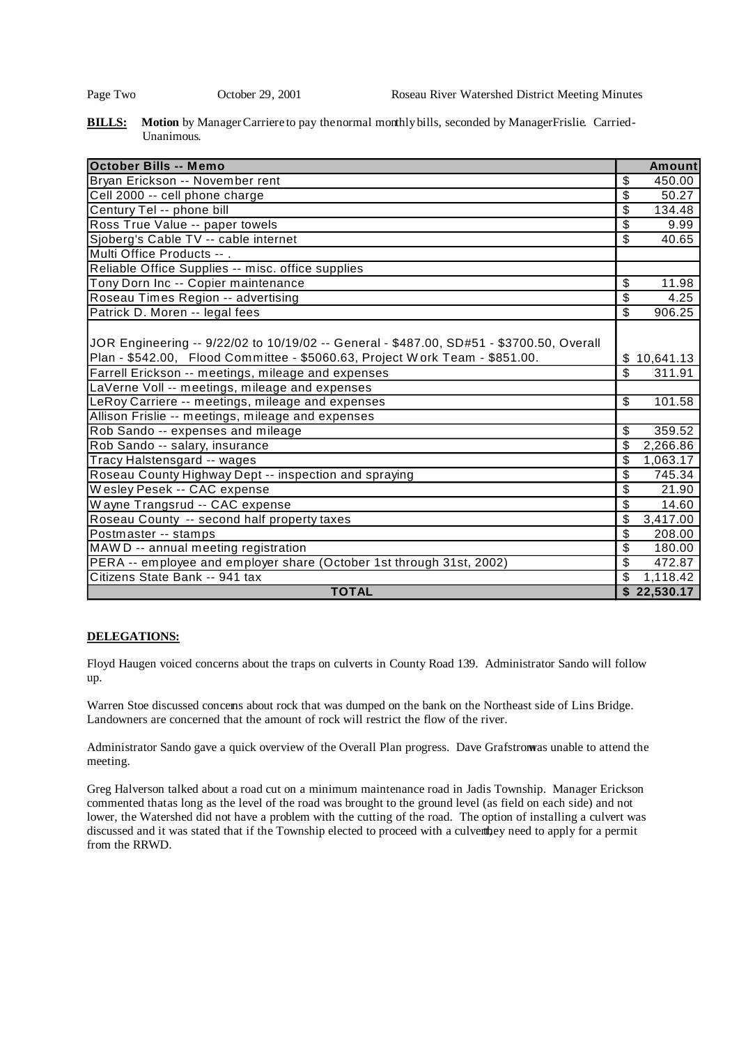**BILLS:** Motion by Manager Carriere to pay the normal monthly bills, seconded by Manager Frislie. Carried-Unanimous.

| <b>October Bills -- Memo</b>                                                             | Amount                             |
|------------------------------------------------------------------------------------------|------------------------------------|
| Bryan Erickson -- November rent                                                          | \$<br>450.00                       |
| Cell 2000 -- cell phone charge                                                           | \$<br>50.27                        |
| Century Tel -- phone bill                                                                | $\overline{\mathcal{S}}$<br>134.48 |
| Ross True Value -- paper towels                                                          | \$<br>9.99                         |
| Sjoberg's Cable TV -- cable internet                                                     | \$<br>40.65                        |
| Multi Office Products -- .                                                               |                                    |
| Reliable Office Supplies -- misc. office supplies                                        |                                    |
| Tony Dorn Inc -- Copier maintenance                                                      | \$<br>11.98                        |
| Roseau Times Region -- advertising                                                       | $\overline{\mathcal{S}}$<br>4.25   |
| Patrick D. Moren -- legal fees                                                           | \$<br>906.25                       |
|                                                                                          |                                    |
| JOR Engineering -- 9/22/02 to 10/19/02 -- General - \$487.00, SD#51 - \$3700.50, Overall |                                    |
| Plan - \$542.00, Flood Committee - \$5060.63, Project Work Team - \$851.00.              | 10,641.13<br>S                     |
| Farrell Erickson -- meetings, mileage and expenses                                       | \$<br>311.91                       |
| LaVerne Voll -- meetings, mileage and expenses                                           |                                    |
| LeRoy Carriere -- meetings, mileage and expenses                                         | \$<br>101.58                       |
| Allison Frislie -- meetings, mileage and expenses                                        |                                    |
| Rob Sando -- expenses and mileage                                                        | \$<br>359.52                       |
| Rob Sando -- salary, insurance                                                           | \$<br>2,266.86                     |
| Tracy Halstensgard -- wages                                                              | \$<br>1,063.17                     |
| Roseau County Highway Dept -- inspection and spraying                                    | \$<br>745.34                       |
| Wesley Pesek -- CAC expense                                                              | \$<br>21.90                        |
| Wayne Trangsrud -- CAC expense                                                           | \$<br>14.60                        |
| Roseau County -- second half property taxes                                              | \$<br>3,417.00                     |
| Postmaster -- stamps                                                                     | \$<br>208.00                       |
| MAW D -- annual meeting registration                                                     | \$<br>180.00                       |
| PERA -- employee and employer share (October 1st through 31st, 2002)                     | \$<br>472.87                       |
| Citizens State Bank -- 941 tax                                                           | \$<br>1,118.42                     |
| <b>TOTAL</b>                                                                             | \$22,530.17                        |

# **DELEGATIONS:**

Floyd Haugen voiced concerns about the traps on culverts in County Road 139. Administrator Sando will follow up.

Warren Stoe discussed concerns about rock that was dumped on the bank on the Northeast side of Lins Bridge. Landowners are concerned that the amount of rock will restrict the flow of the river.

Administrator Sando gave a quick overview of the Overall Plan progress. Dave Grafstrom as unable to attend the meeting.

Greg Halverson talked about a road cut on a minimum maintenance road in Jadis Township. Manager Erickson commented thatas long as the level of the road was brought to the ground level (as field on each side) and not lower, the Watershed did not have a problem with the cutting of the road. The option of installing a culvert was discussed and it was stated that if the Township elected to proceed with a culverthey need to apply for a permit from the RRWD.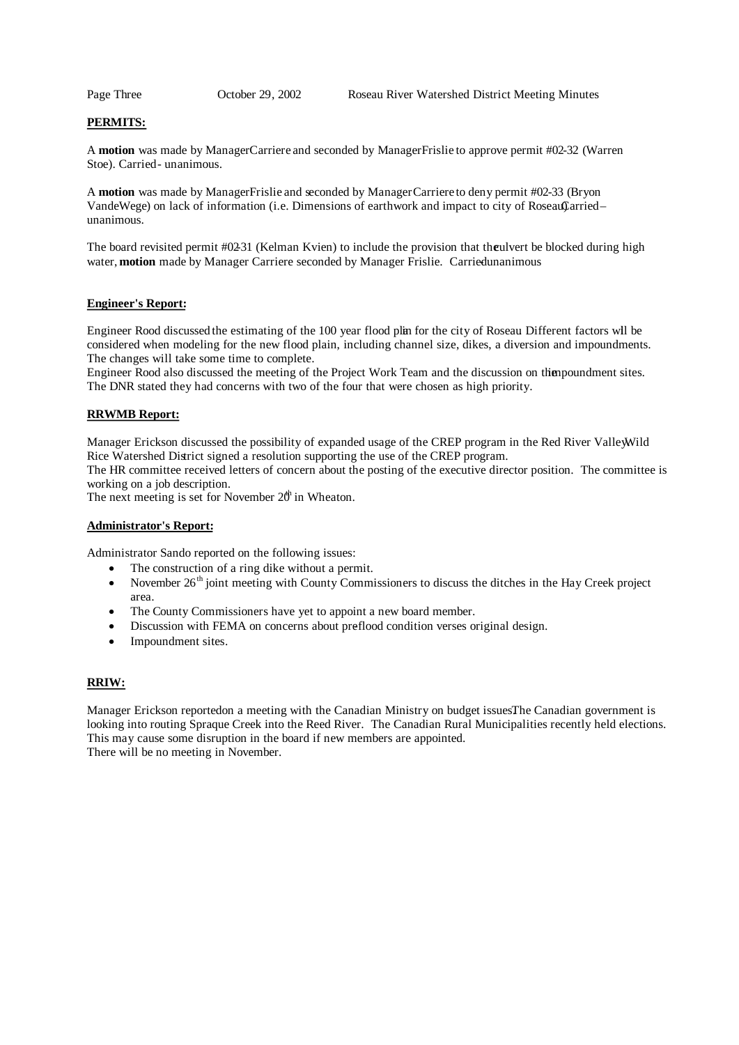# **PERMITS:**

A motion was made by ManagerCarriere and seconded by ManagerFrislie to approve permit #02-32 (Warren Stoe). Carried - unanimous.

A **motion** was made by Manager Frislie and seconded by Manager Carriere to deny permit #02-33 (Bryon VandeWege) on lack of information (i.e. Dimensions of earthwork and impact to city of Roseau $\Omega$ arried– unanimous.

The board revisited permit #0231 (Kelman Kvien) to include the provision that the ulvert be blocked during high water, **motion** made by Manager Carriere seconded by Manager Frislie. Carriedunanimous

#### **Engineer's Report:**

Engineer Rood discussed the estimating of the 100 year flood plin for the city of Roseau. Different factors wll be considered when modeling for the new flood plain, including channel size, dikes, a diversion and impoundments. The changes will take some time to complete.

Engineer Rood also discussed the meeting of the Project Work Team and the discussion on thiempoundment sites. The DNR stated they had concerns with two of the four that were chosen as high priority.

# **RRWMB Report:**

Manager Erickson discussed the possibility of expanded usage of the CREP program in the Red River Vallewild Rice Watershed District signed a resolution supporting the use of the CREP program.

The HR committee received letters of concern about the posting of the executive director position. The committee is working on a job description.

The next meeting is set for November  $20^h$  in Wheaton.

#### **Administrator's Report:**

Administrator Sando reported on the following issues:

- The construction of a ring dike without a permit.
- November 26<sup>th</sup> joint meeting with County Commissioners to discuss the ditches in the Hay Creek project area.
- The County Commissioners have yet to appoint a new board member.
- Discussion with FEMA on concerns about preflood condition verses original design.
- Impoundment sites.

#### **RRIW:**

Manager Erickson reported on a meeting with the Canadian Ministry on budget issuesThe Canadian government is looking into routing Spraque Creek into the Reed River. The Canadian Rural Municipalities recently held elections. This may cause some disruption in the board if new members are appointed. There will be no meeting in November.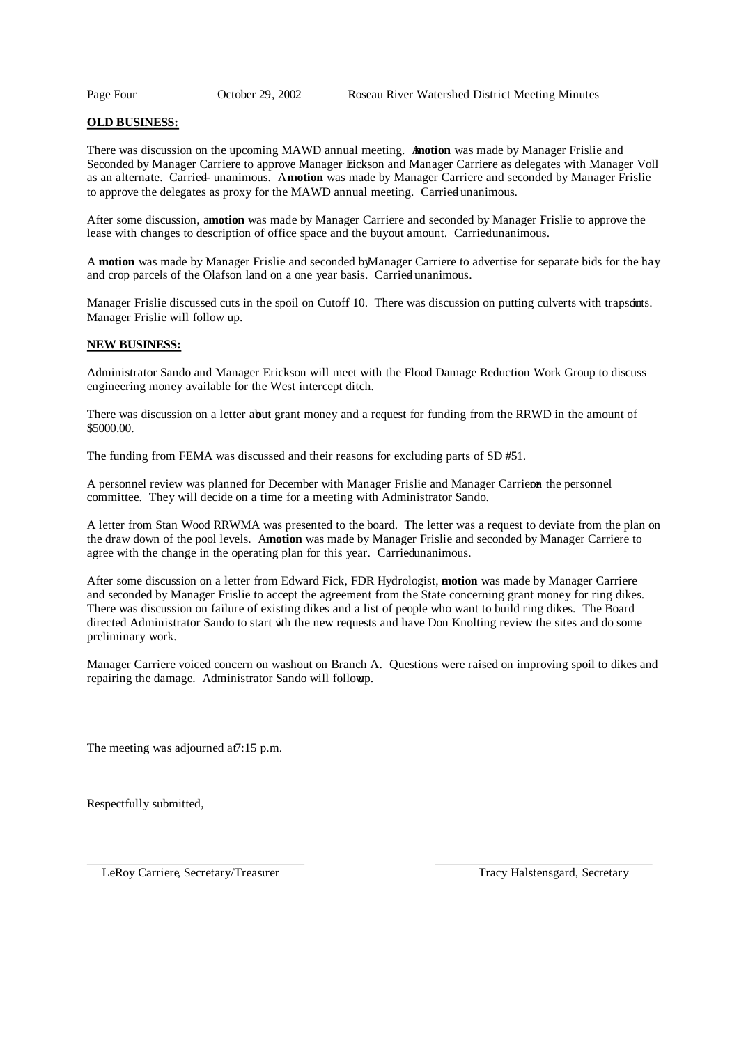# **OLD BUSINESS:**

There was discussion on the upcoming MAWD annual meeting. **Anotion** was made by Manager Frislie and Seconded by Manager Carriere to approve Manager Eickson and Manager Carriere as delegates with Manager Voll as an alternate. Carried – unanimous. A**motion** was made by Manager Carriere and seconded by Manager Frislie to approve the delegates as proxy for the MAWD annual meeting. Carried unanimous.

After some discussion, a **motion** was made by Manager Carriere and seconded by Manager Frislie to approve the lease with changes to description of office space and the buyout amount. Carried unanimous.

A **motion** was made by Manager Frislie and seconded byManager Carriere to advertise for separate bids for the hay and crop parcels of the Olafson land on a one year basis. Carried unanimous.

Manager Frislie discussed cuts in the spoil on Cutoff 10. There was discussion on putting culverts with trapscimits. Manager Frislie will follow up.

## **NEW BUSINESS:**

Administrator Sando and Manager Erickson will meet with the Flood Damage Reduction Work Group to discuss engineering money available for the West intercept ditch.

There was discussion on a letter about grant money and a request for funding from the RRWD in the amount of \$5000.00.

The funding from FEMA was discussed and their reasons for excluding parts of SD #51.

A personnel review was planned for December with Manager Frislie and Manager Carrieron the personnel committee. They will decide on a time for a meeting with Administrator Sando.

A letter from Stan Wood RRWMA was presented to the board. The letter was a request to deviate from the plan on the draw down of the pool levels. A**motion** was made by Manager Frislie and seconded by Manager Carriere to agree with the change in the operating plan for this year. Carried unanimous.

After some discussion on a letter from Edward Fick, FDR Hydrologist, **motion** was made by Manager Carriere and seconded by Manager Frislie to accept the agreement from the State concerning grant money for ring dikes. There was discussion on failure of existing dikes and a list of people who want to build ring dikes. The Board directed Administrator Sando to start with the new requests and have Don Knolting review the sites and do some preliminary work.

Manager Carriere voiced concern on washout on Branch A. Questions were raised on improving spoil to dikes and repairing the damage. Administrator Sando will followp.

The meeting was adjourned at 7:15 p.m.

Respectfully submitted,

LeRoy Carriere, Secretary/Treasurer Tracy Halstensgard, Secretary